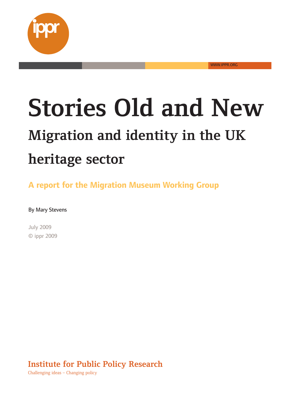

**Stories-Old-and-New Migration-and-identity-in-the-UK heritage sector** 

WWW.IPPR.ORG

**A** report for the Migration Museum Working Group

By Mary Stevens

July-2009 ©-ippr-2009

**Institute for Public Policy Research** 

Challenging ideas - Changing policy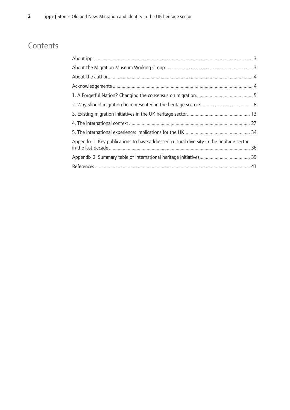# **Contents**

| Appendix 1. Key publications to have addressed cultural diversity in the heritage sector |  |
|------------------------------------------------------------------------------------------|--|
|                                                                                          |  |
|                                                                                          |  |
|                                                                                          |  |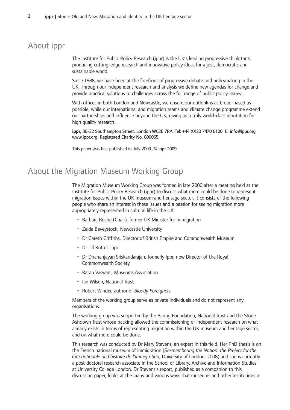## About ippr

The Institute for Public Policy Research (ippr) is the UK's leading progressive think tank, producing cutting-edge research and innovative policy ideas for a just, democratic and sustainable-world.

Since 1988, we have been at the forefront of progressive debate and policymaking in the UK. Through our independent research and analysis we define new agendas for change and provide practical solutions to challenges across the full range of public policy issues.

With offices in both London and Newcastle, we ensure our outlook is as broad-based as possible, while our international and migration teams and climate change programme extend our partnerships and influence beyond the UK, giving us a truly world-class reputation for high quality research.

ippr, 30-32 Southampton Street, London WC2E 7RA. Tel: +44 (0)20 7470 6100 E: info@ippr.org www.ippr.org. Registered Charity No. 800065

This paper was first published in July 2009. © ippr 2009

## About the Migration Museum Working Group

The Migration Museum Working Group was formed in late 2006 after a meeting held at the Institute for Public Policy Research (ippr) to discuss what more could be done to represent migration issues within the UK museum and heritage sector. It consists of the following people who share an interest in these issues and a passion for seeing migration more appropriately represented in cultural life in the UK:

- Barbara Roche (Chair), former UK Minister for Immigration
- Zelda Baveystock, Newcastle University
- Dr Gareth Griffiths, Director of British Empire and Commonwealth Museum
- Dr Jill Rutter, ippr
- Dr Dhananjayan Sriskandarajah, formerly ippr, now Director of the Royal Commonwealth-Society
- Ratan Vaswani, Museums Association
- Ian Wilson, National Trust
- Robert Winder, author of *Bloody Foreigners*

Members of the working group serve as private individuals and do not represent any organisations.

The working group was supported by the Baring Foundation, National Trust and the Stone Ashdown Trust whose backing allowed the commissioning of independent research on what already exists in terms of representing migration within the UK museum and heritage sector, and on what more could be done.

This research was conducted by Dr Mary Stevens, an expert in this field. Her PhD thesis is on the French national museum of immigration (Re-membering the Nation: the Project for the Cité nationale de l'histoire de l'immigration, University of London, 2008) and she is currently a post-doctoral research associate in the School of Library, Archive and Information Studies at University College London. Dr Stevens's report, published as a companion to this discussion paper, looks at the many and various ways that museums and other institutions in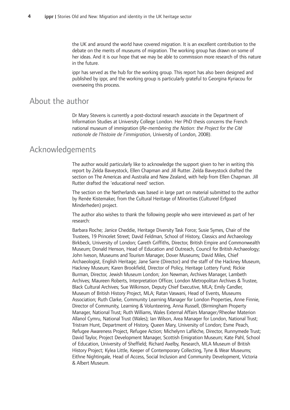the UK and around the world have covered migration. It is an excellent contribution to the debate on the merits of museums of migration. The working group has drawn on some of her ideas. And it is our hope that we may be able to commission more research of this nature in the future.

ippr has served as the hub for the working group. This report has also been designed and published by ippr, and the working group is particularly grateful to Georgina Kyriacou for overseeing this process.

## About the author

Dr Mary Stevens is currently a post-doctoral research associate in the Department of Information Studies at University College London. Her PhD thesis concerns the French national-museum-of-immigration-(*Re-membering-the-Nation:-the-Project-for-the-Cité* nationale de l'histoire de l'immigration, University of London, 2008).

## Acknowledgements

The author would particularly like to acknowledge the support given to her in writing this report by Zelda Baveystock, Ellen Chapman and Jill Rutter. Zelda Baveystock drafted the section on The Americas and Australia and New Zealand, with help from Ellen Chapman. Jill Rutter drafted the 'educational need' section.

The section on the Netherlands was based in large part on material submitted to the author by Renée Kistemaker, from the Cultural Heritage of Minorities (Cultureel Erfgoed Minderheden) project.

The author also wishes to thank the following people who were interviewed as part of her research:

Barbara Roche; Janice Cheddie, Heritage Diversity Task Force; Susie Symes, Chair of the Trustees, 19 Princelet Street; David Feldman, School of History, Classics and Archaeology Birkbeck, University of London; Gareth Griffiths, Director, British Empire and Commonwealth Museum; Donald Henson, Head of Education and Outreach, Council for British Archaeology; John Iveson, Museums and Tourism Manager, Dover Museums; David Miles, Chief Archaeologist, English Heritage; Jane Sarre (Director) and the staff of the Hackney Museum, Hackney Museum; Karen Brookfield, Director of Policy, Heritage Lottery Fund; Rickie Burman, Director, Jewish Museum London; Jon Newman, Archives Manager, Lambeth Archives; Maureen Roberts, Interpretation Officer, London Metropolitan Archives & Trustee, Black Cultural Archives; Sue Wilkinson, Deputy Chief Executive, MLA; Emily Candler, Museum of British History Project, MLA; Ratan Vaswani, Head of Events, Museums Association; Ruth Clarke, Community Learning Manager for London Properties, Anne Finnie, Director of Community, Learning & Volunteering, Anna Russell, (Birmingham Property Manager, National Trust; Ruth Williams, Wales External Affairs Manager/Rheolwr Materion Allanol Cymru, National Trust (Wales); Ian Wilson, Area Manager for London, National Trust; Tristram Hunt, Department of History, Queen Mary, University of London; Esme Peach, Refugee Awareness Project, Refugee Action; Michelynn Laflèche, Director, Runnymede Trust; David Taylor, Project Development Manager, Scottish Emigration Museum; Kate Pahl, School of Education, University of Sheffield; Richard Axelby, Research, MLA Museum of British History Project; Kylea Little, Keeper of Contemporary Collecting, Tyne & Wear Museums; Eithne Nightingale, Head of Access, Social Inclusion and Community Development, Victoria & Albert Museum.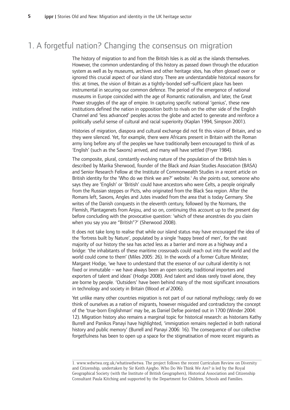## 1. A forgetful nation? Changing the consensus on migration

The history of migration to and from the British Isles is as old as the islands themselves. However, the common understanding of this history as passed down through the education system as well as by museums, archives and other heritage sites, has often glossed over or ignored this crucial aspect of our island story. There are understandable historical reasons for this: at times, the vision of Britain as a tightly-bonded self-sufficient place has been instrumental in securing our common defence. The period of the emergence of national museums in Europe coincided with the age of Romantic nationalism, and later, the Great Power struggles of the age of empire. In capturing specific national 'genius', these new institutions defined the nation in opposition both to rivals on the other side of the English Channel and 'less advanced' peoples across the globe and acted to generate and reinforce a politically useful sense of cultural and racial superiority (Kaplan 1994, Simpson 2001).

Histories of migration, diaspora and cultural exchange did not fit this vision of Britain, and so they were silenced. Yet, for example, there were Africans present in Britain with the Roman army long before any of the peoples we have traditionally been encouraged to think of as 'English' (such as the Saxons) arrived, and many will have settled (Fryer 1984).

The composite, plural, constantly evolving nature of the population of the British Isles is described by Marika Sherwood, founder of the Black and Asian Studies Association (BASA) and Senior Research Fellow at the Institute of Commonwealth Studies in a recent article on British identity for the 'Who do we think we are?' website.<sup>1</sup> As she points out, someone who says they are 'English' or 'British' could have ancestors who were Celts, a people originally from the Russian steppes or Picts, who originated from the Black Sea region. After the Romans left, Saxons, Angles and Jutes invaded from the area that is today Germany. She writes of the Danish conquests in the eleventh century, followed by the Normans, the Flemish, Plantagenets from Anjou, and so on, continuing this account up to the present day before concluding with the provocative question: 'which of these ancestries do you claim when you say you are "British"?' (Sherwood 2008).

It does not take long to realise that while our island status may have encouraged the idea of the 'fortress built by Nature', populated by a single 'happy breed of men', for the vast majority of our history the sea has acted less as a barrier and more as a highway and a bridge: 'the inhabitants of these maritime crossroads could reach out into the world and the world could come to them' (Miles 2005: 26). In the words of a former Culture Minister, Margaret Hodge, 'we have to understand that the essence of our cultural identity is not fixed or immutable – we have always been an open society, traditional importers and exporters of talent and ideas' (Hodge 2008). And talent and ideas rarely travel alone, they are borne by people. 'Outsiders' have been behind many of the most significant innovations in technology and society in Britain (Wood et al 2006).

Yet unlike many other countries migration is not part of our national mythology; rarely do we think of ourselves as a nation of migrants, however misguided and contradictory the concept of the 'true-born Englishman' may be, as Daniel Defoe pointed out in 1700 (Winder 2004: 12). Migration history also remains a marginal topic for historical research: as historians Kathy Burrell and Panikos Panayi have highlighted, 'immigration remains neglected in both national history and public memory' (Burrell and Panayi 2006: 16). The consequence of our collective forgetfulness has been to open up a space for the stigmatisation of more recent migrants as

<sup>1.</sup> www.wdwtwa.org.uk/whatiswdwtwa. The project follows the recent Curriculum Review on Diversity and Citizenship, undertaken by Sir Keith Ajegbo. Who Do We Think We Are? is led by the Royal Geographical Society (with the Institute of British Geographers), Historical Association and Citizenship Consultant Paula Kitching and supported by the Department for Children, Schools and Families.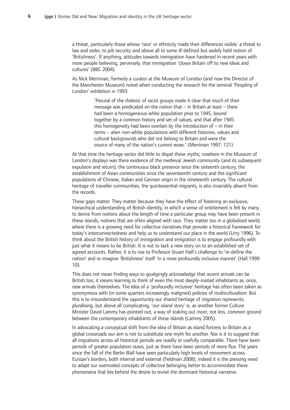a threat, particularly those whose 'race' or ethnicity made their differences visible: a threat to law and order, to job security and above all to some ill-defined but widely held notion of 'Britishness'. If anything, attitudes towards immigration have hardened in recent years with more people believing, perversely, that immigration 'closes Britain off to new ideas and cultures' (BBC 2004).

As Nick Merriman, formerly a curator at the Museum of London (and now the Director of the Manchester Museum) noted when conducting the research for the seminal 'Peopling of London' exhibition in 1993:

> 'Perusal of the rhetoric of racist groups made it clear that much of their message was predicated on the notion that  $-$  in Britain at least  $-$  there had been a homogeneous white population prior to 1945, bound together by a common history and set of values, and that after 1945 this homogeneity had been overlain by the introduction of  $-$  in their terms - alien non-white populations with different histories, values and cultural backgrounds who did not belong to Britain and were the source of many of the nation's current woes.' (Merriman 1997: 121)

At that time the heritage sector did little to dispel these myths; nowhere in the Museum of London's displays was there evidence of the medieval Jewish community (and its subsequent expulsion and return), the continuous black presence since the sixteenth century, the establishment of Asian communities since the seventeenth century and the significant populations of Chinese, Italian and German origin in the nineteenth century. The cultural heritage of traveller communities, the quintessential migrants, is also invariably absent from the records.

These gaps matter. They matter because they have the effect of fostering an exclusive, hierarchical understanding of British identity, in which a sense of entitlement is felt by many to derive from notions about the length of time a particular group may have been present in these islands, notions that are often aligned with race. They matter too in a globalised world, where there is a growing need for collective narratives that provide a historical framework for today's interconnectedness and help us to understand our place in the world (Urry 1996). To think about the British history of immigration and emigration is to engage profoundly with just what it means to be British. It is not to tack a new story on to an established set of agreed accounts. Rather, it is to rise to Professor Stuart Hall's challenge to 're-define the nation' and re-imagine 'Britishness' itself 'in a more profoundly inclusive manner' (Hall 1999:  $10$ ).

This does not mean finding ways to grudgingly acknowledge that recent arrivals can be British too; it means learning to think of even the most deeply-rooted inhabitants as, once, new arrivals themselves. The idea of a 'profoundly inclusive' heritage has often been taken as synonymous with (in some quarters increasingly maligned) policies of multiculturalism. But this is to misunderstand the opportunity our shared heritage of migration represents; pluralising, but above all complicating, 'our island story' is, as another former Culture Minister David Lammy has pointed out, a way of staking out *more*, not less, common ground between the contemporary inhabitants of these islands (Lammy 2005).

In advocating a conceptual shift from the idea of Britain as island fortress to Britain as a global crossroads our aim is not to substitute one myth for another. Nor is it to suggest that all migrations across all historical periods are readily or usefully comparable. There have been periods of greater population stasis, just as there have been periods of more flux. The years since the fall of the Berlin Wall have seen particularly high levels of movement across Europe's borders, both internal and external (Feldman 2008); indeed it is the pressing need to adapt our outmoded concepts of collective belonging better to accommodate these phenomena that lies behind the desire to revisit the dominant historical narrative.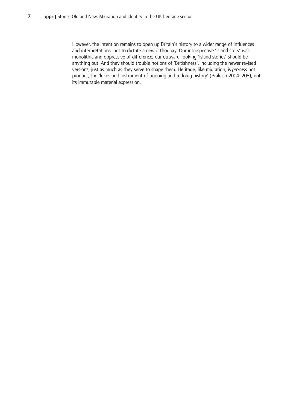However, the intention remains to open up Britain's history to a wider range of influences and interpretations, not to dictate a new orthodoxy. Our introspective 'island story' was monolithic and oppressive of difference; our outward-looking 'island stories' should be anything but. And they should trouble notions of 'Britishness', including the newer revised versions, just as much as they serve to shape them. Heritage, like migration, is *process* not product, the 'locus and instrument of undoing and redoing history' (Prakash 2004: 208), not its immutable material expression.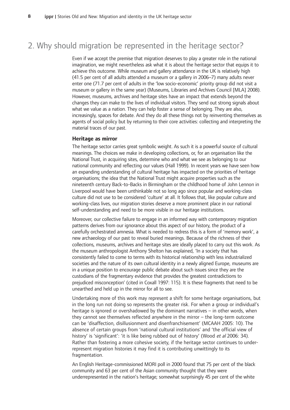## 2. Why should migration be represented in the heritage sector?

Even if we accept the premise that migration deserves to play a greater role in the national imagination, we might nevertheless ask what it is about the heritage sector that equips it to achieve this outcome. While museum and gallery attendance in the UK is relatively high (41.5 per cent of all adults attended a museum or a gallery in 2006-7) many adults never enter one (71.7 per cent of adults in the 'low socio-economic' priority group did not visit a museum or gallery in the same year) (Museums, Libraries and Archives Council [MLA] 2008). However, museums, archives and heritage sites have an impact that extends beyond the changes they can make to the lives of individual visitors. They send out strong signals about what we value as a nation. They can help foster a sense of belonging. They are also, increasingly, spaces for debate. And they do all these things not by reinventing themselves as agents of social policy but by returning to their core activities: collecting and interpreting the material traces of our past.

### **Heritage-as-mirror**

The heritage sector carries great symbolic weight. As such it is a powerful source of cultural meanings. The choices we make in developing collections, or, for an organisation like the National Trust, in acquiring sites, determine who and what we see as belonging to our national community and reflecting our values (Hall 1999). In recent years we have seen how an expanding understanding of cultural heritage has impacted on the priorities of heritage organisations; the idea that the National Trust might acquire properties such as the nineteenth century Back-to-Backs in Birmingham or the childhood home of John Lennon in Liverpool would have been unthinkable not so long ago since popular and working-class culture did not use to be considered 'culture' at all. It follows that, like popular culture and working-class lives, our migration stories deserve a more prominent place in our national self-understanding and need to be more visible in our heritage institutions.

Moreover, our collective failure to engage in an informed way with contemporary migration patterns derives from our ignorance about this aspect of our history, the product of a carefully orchestrated amnesia. What is needed to redress this is a form of 'memory work', a new archaeology of our past to reveal buried meanings. Because of the richness of their collections, museums, archives and heritage sites are ideally placed to carry out this work. As the museum anthropologist Anthony Shelton has explained, 'In a society that has consistently failed to come to terms with its historical relationship with less industrialized societies and the nature of its own cultural identity in a newly aligned Europe, museums are in a unique position to encourage public debate about such issues since they are the custodians of the fragmentary evidence that provides the greatest contradictions to prejudiced misconception' (cited in Coxall 1997: 115). It is these fragments that need to be unearthed and held up in the mirror for all to see.

Undertaking more of this work may represent a shift for some heritage organisations, but in the long run not doing so represents the greater risk. For when a group or individual's heritage is ignored or overshadowed by the dominant narratives – in other words, when they cannot see themselves reflected anywhere in the mirror – the long-term outcome can be 'disaffection, disillusionment and disenfranchisement' (MCAAH 2005: 10). The absence of certain groups from 'national cultural institutions' and 'the official view of history' is 'significant': 'it is like being rubbed out of history' (Wood et al 2006: 34). Rather than fostering a more cohesive society, if the heritage sector continues to underrepresent migration histories it may find it is contributing unwittingly to its fragmentation.

An English Heritage-commissioned MORI poll in 2000 found that 75 per cent of the black community and 63 per cent of the Asian community thought that they were underrepresented in the nation's heritage; somewhat surprisingly 45 per cent of the white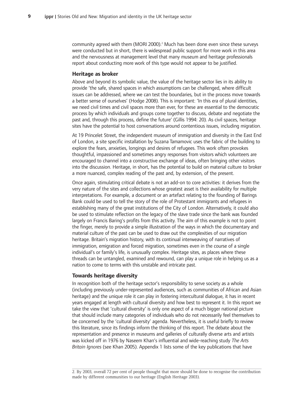community agreed with them (MORI 2000).<sup>2</sup> Much has been done even since these surveys were conducted but in short, there is widespread public support for more work in this area and the nervousness at management level that many museum and heritage professionals report about conducting more work of this type would not appear to be justified.

#### **Heritage-as-broker**

Above and beyond its symbolic value, the value of the heritage sector lies in its ability to provide 'the safe, shared spaces in which assumptions can be challenged, where difficult issues can be addressed, where we can test the boundaries, but in the process move towards a better sense of ourselves' (Hodge 2008). This is important: 'In this era of plural identities, we need civil times and civil spaces more than ever, for these are essential to the democratic process by which individuals and groups come together to discuss, debate and negotiate the past and, through this process, define the future' (Gillis 1994: 20). As civil spaces, heritage sites have the potential to host conversations around contentious issues, including migration.

At 19 Princelet Street, the independent museum of immigration and diversity in the East End of London, a site specific installation by Suzana Tamamovic uses the fabric of the building to explore the fears, anxieties, longings and desires of refugees. This work often provokes thoughtful, impassioned and sometimes angry responses from visitors which volunteers are encouraged to channel into a constructive exchange of ideas, often bringing other visitors into the discussion. Heritage, in short, has the potential to build on material culture to broker a more nuanced, complex reading of the past and, by extension, of the present.

Once again, stimulating critical debate is not an add-on to core activities: it derives from the very nature of the sites and collections whose greatest asset is their availability for multiple interpretations. For example, a document or an artefact relating to the founding of Barings Bank could be used to tell the story of the role of Protestant immigrants and refugees in establishing many of the great institutions of the City of London. Alternatively, it could also be used to stimulate reflection on the legacy of the slave trade since the bank was founded largely on Francis Baring's profits from this activity. The aim of this example is not to point the finger, merely to provide a simple illustration of the ways in which the documentary and material culture of the past can be used to draw out the complexities of our migration heritage. Britain's migration history, with its continual interweaving of narratives of immigration, emigration and forced migration, sometimes even in the course of a single individual's or family's life, is unusually complex. Heritage sites, as places where these threads can be untangled, examined and rewound, can play a unique role in helping us as a nation to come to terms with this unstable and intricate past.

#### **Towards-heritage-diversity**

In recognition both of the heritage sector's responsibility to serve society as a whole (including previously under-represented audiences, such as communities of African and Asian heritage) and the unique role it can play in fostering intercultural dialogue, it has in recent years engaged at length with cultural diversity and how best to represent it. In this report we take the view that 'cultural diversity' is only one aspect of a much bigger national picture that should include many categories of individuals who do not necessarily feel themselves to be concerned by the 'cultural diversity' agenda. Nevertheless, it is useful briefly to review this literature, since its findings inform the thinking of this report. The debate about the representation and presence in museums and galleries of culturally diverse arts and artists was kicked off in 1976 by Naseem Khan's influential and wide-reaching study *The Arts* Britain Ignores (see Khan 2005). Appendix 1 lists some of the key publications that have

<sup>2.</sup> By 2003, overall 72 per cent of people thought that more should be done to recognise the contribution made by different communities to our heritage (English Heritage 2003).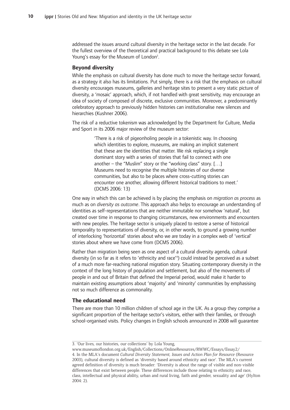addressed the issues around cultural diversity in the heritage sector in the last decade. For the fullest overview of the theoretical and practical background to this debate see Lola Young's essay for the Museum of London<sup>3</sup>.

### **Beyond-diversity**

While the emphasis on cultural diversity has done much to move the heritage sector forward, as a strategy it also has its limitations. Put simply, there is a risk that the emphasis on cultural diversity encourages museums, galleries and heritage sites to present a very static picture of diversity, a 'mosaic' approach, which, if not handled with great sensitivity, may encourage an idea of society of composed of discrete, exclusive communities. Moreover, a predominantly celebratory approach to previously hidden histories can institutionalise new silences and hierarchies (Kushner 2006).

The risk of a reductive tokenism was acknowledged by the Department for Culture, Media and Sport in its 2006 major review of the museum sector:

> 'There is a risk of pigeonholing people in a tokenistic way. In choosing which identities to explore, museums, are making an implicit statement that these are the identities that matter. We risk replacing a single dominant story with a series of stories that fail to connect with one another – the "Muslim" story or the "working class" story. [...] Museums need to recognise the multiple histories of our diverse communities, but also to be places where cross-cutting stories can encounter one another, allowing different historical traditions to meet.' (DCMS 2006: 13)

One way in which this can be achieved is by placing the emphasis on *migration as process* as much as on *diversity as outcome*. This approach also helps to encourage an understanding of identities as self-representations that are neither immutable nor somehow 'natural', but created over time in response to changing circumstances, new environments and encounters with new peoples. The heritage sector is uniquely placed to restore a sense of historical temporality to representations of diversity, or, in other words, to ground a growing number of interlocking 'horizontal' stories about who we are today in a complex web of 'vertical' stories about where we have come from (DCMS 2006).

Rather than migration being seen as one aspect of a cultural diversity agenda, cultural diversity (in so far as it refers to 'ethnicity and race'<sup>4</sup>) could instead be perceived as a subset of a much more far-reaching national migration story. Situating contemporary diversity in the context of the long history of population and settlement, but also of the movements of people in and out of Britain that defined the Imperial period, would make it harder to maintain existing assumptions about 'majority' and 'minority' communities by emphasising not so much difference as commonality.

#### **The-educational-need**

There are more than 10 million children of school age in the UK. As a group they comprise a significant proportion of the heritage sector's visitors, either with their families, or through school-organised visits. Policy changes in English schools announced in 2008 will guarantee

<sup>3. &#</sup>x27;Our lives, our histories, our collections' by Lola Young,

www.museumoflondon.org.uk/English/Collections/OnlineResources/RWWC/Essays/Essay2/- 4. In the MLA's document Cultural Diversity Statement, Issues and Action Plan for Resource (Resource 2003), cultural diversity is defined as 'diversity based around ethnicity and race'. The MLA's current agreed definition of diversity is much broader: 'Diversity is about the range of visible and non-visible differences that exist between people. These differences include those relating to ethnicity and race, class, intellectual and physical ability, urban and rural living, faith and gender, sexuality and age' (Hylton 2004: 2).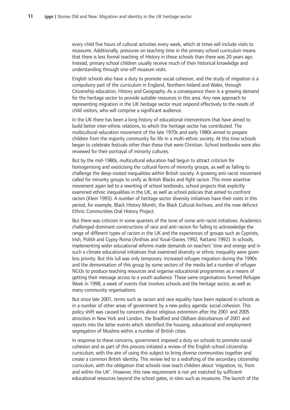every child five hours of cultural activities every week, which at times will include visits to museums. Additionally, pressures on teaching time in the primary school curriculum means that there is less formal teaching of History in these schools than there was 20 years ago. Instead, primary school children usually receive much of their historical knowledge and understanding through one-off museum visits.

English schools also have a duty to promote social cohesion, and the study of migration is a compulsory part of the curriculum in England, Northern Ireland and Wales, through Citizenship education, History and Geography. As a consequence there is a growing demand for the heritage sector to provide suitable resources in this area. Any new approach to representing migration in the UK heritage sector must respond effectively to the needs of child visitors, who will comprise a significant audience.

In the UK there has been a long history of educational interventions that have aimed to build better inter-ethnic relations, to which the heritage sector has contributed. The multicultural education movement of the late 1970s and early 1980s aimed to prepare children from the majority community for life in a multi-ethnic society. At this time schools began to celebrate festivals other than those that were Christian. School textbooks were also reviewed for their portrayal of minority cultures.

But by the mid-1980s, multicultural education had begun to attract criticism for homogenising and exoticising the cultural forms of minority groups, as well as failing to challenge the deep-rooted inequalities within British society. A growing anti-racist movement called for minority groups to unify as British Blacks and fight racism. This more assertive movement again led to a rewriting of school textbooks, school projects that explicitly examined ethnic inequalities in the UK, as well as school policies that aimed to confront racism (Klein 1993). A number of heritage sector diversity initiatives have their roots in this period, for example, Black History Month, the Black Cultural Archives, and the now defunct Ethnic Communities Oral History Project.

But there was criticism in some quarters of the tone of some anti-racist initiatives. Academics challenged dominant constructions of race and anti-racism for failing to acknowledge the range of different types of racism in the UK and the experiences of groups such as Cypriots, Irish, Polish and Gypsy Roma (Anthias and Yuval-Davies 1992, Rattansi 1992). In schools, implementing wider educational reforms made demands on teachers' time and energy and in such a climate educational initiatives that examined diversity or ethnic inequality were given less priority. But this lull was only temporary. Increased refugee migration during the 1990s and the demonisation of this group by some sectors of the media led a number of refugee NGOs to produce teaching resources and organise educational programmes as a means of getting their message across to a youth audience. These same organisations formed Refugee Week in 1998, a week of events that involves schools and the heritage sector, as well as many community organisations.

But since late 2001, terms such as racism and race equality have been replaced in schools as in a number of other areas of government by a new policy agenda: social cohesion. This policy shift was caused by concerns about religious extremism after the 2001 and 2005 atrocities in New York and London, the Bradford and Oldham disturbances of 2001 and reports into the latter events which identified the housing, educational and employment segregation of Muslims within a number of British cities.

In response to these concerns, government imposed a duty on schools to promote social cohesion and as part of this process initiated a review of the English school citizenship curriculum, with the aim of using this subject to bring diverse communities together and create a common British identity. This review led to a redrafting of the secondary citizenship curriculum, with the obligation that schools now teach children about 'migration, to, from and within the UK'. However, this new requirement is not yet matched by sufficient educational resources beyond the school gates, in sites such as museums. The launch of the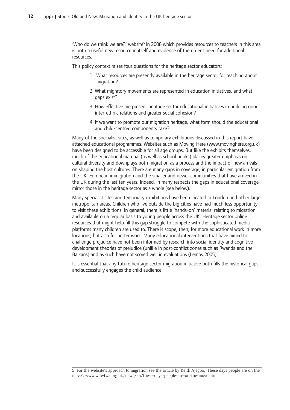'Who-do-we-think we are?' website<sup>5</sup> in 2008 which provides resources to teachers in this area is both a useful new resource in itself and evidence of the urgent need for additional resources.

This policy context raises four questions for the heritage sector educators:

- 1. What resources are presently available in the heritage sector for teaching about migration?
- 2. What migratory movements are represented in education initiatives, and what gaps exist?
- 3. How effective are present heritage sector educational initiatives in building good inter-ethnic relations and greater social cohesion?
- 4. If we want to promote our migration heritage, what form should the educational and child-centred components take?

Many of the specialist sites, as well as temporary exhibitions discussed in this report have attached educational programmes. Websites such as Moving Here (www.movinghere.org.uk) have been designed to be accessible for all age groups. But like the exhibits themselves, much of the educational material (as well as school books) places greater emphasis on cultural diversity and downplays both migration as a process and the impact of new arrivals on shaping the host cultures. There are many gaps in coverage, in particular emigration from the UK, European immigration and the smaller and newer communities that have arrived in the UK during the last ten years. Indeed, in many respects the gaps in educational coverage mirror those in the heritage sector as a whole (see below).

Many specialist sites and temporary exhibitions have been located in London and other large metropolitan areas. Children who live outside the big cities have had much less opportunity to visit these exhibitions. In general, there is little 'hands-on' material relating to migration and available on a regular basis to young people across the UK. Heritage sector online resources that might help fill this gap struggle to compete with the sophisticated media platforms many children are used to. There is scope, then, for more educational work in more locations, but also for better work. Many educational interventions that have aimed to challenge prejudice have not been informed by research into social identity and cognitive development theories of prejudice (unlike in post-conflict zones such as Rwanda and the Balkans) and as such have not scored well in evaluations (Lemos 2005).

It is essential that any future heritage sector migration initiative both fills the historical gaps and successfully engages the child audience.

<sup>5.</sup> For the website's approach to migration see the article by Keith Ajegbo, 'These days people are on the move', www.wdwtwa.org.uk/news/55/these-days-people-are-on-the-move.html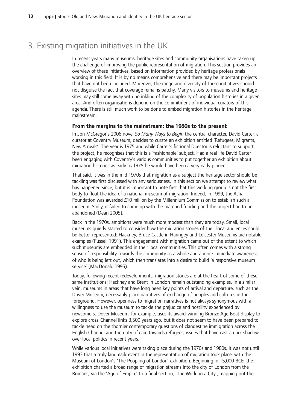## 3. Existing migration initiatives in the UK

In recent years many museums, heritage sites and community organisations have taken up the challenge of improving the public representation of migration. This section provides an overview of these initiatives, based on information provided by heritage professionals working in this field. It is by no means comprehensive and there may be important projects that have not been included. Moreover, the range and diversity of these initiatives should not disguise the fact that coverage remains patchy. Many visitors to museums and heritage sites may still come away with no inkling of the complexity of population histories in a given area. And often organisations depend on the commitment of individual curators of this agenda. There is still much work to be done to embed migration histories in the heritage mainstream.

#### **From the margins to the mainstream: the 1980s to the present**

In Jon McGregor's 2006 novel So Many Ways to Begin the central character, David Carter, a curator at Coventry Museum, decides to curate an exhibition entitled 'Refugees, Migrants, New Arrivals'. The year is 1975 and while Carter's fictional Director is reluctant to support the project, he recognises that this is a 'fashionable' subject. Had a real life David Carter been engaging with Coventry's various communities to put together an exhibition about migration histories as early as 1975 he would have been a very early pioneer.

That said, it was in the mid 1970s that migration as a subject the heritage sector should be tackling was first discussed with any seriousness. In this section we attempt to review what has happened since, but it is important to note first that this working group is not the first body to float the idea of a national museum of migration. Indeed, in 1999, the Asha Foundation was awarded £10 million by the Millennium Commission to establish such a museum. Sadly, it failed to come up with the matched funding and the project had to be abandoned (Dean 2005).

Back in the 1970s, ambitions were much more modest than they are today. Small, local museums quietly started to consider how the migration stories of their local audiences could be better represented: Hackney, Bruce Castle in Haringey and Leicester Museums are notable examples (Fussell 1991). This engagement with migration came out of the extent to which such museums are embedded in their local communities. This often comes with a strong sense of responsibility towards the community as a whole and a more immediate awareness of who is being left out, which then translates into a desire to build 'a responsive museum service' (MacDonald 1995).

Today, following recent redevelopments, migration stories are at the heart of some of these same institutions: Hackney and Brent in London remain outstanding examples. In a similar vein, museums in areas that have long been key points of arrival and departure, such as the Dover Museum, necessarily place narratives of exchange of peoples and cultures in the foreground. However, openness to migration narratives is not always synonymous with a willingness to use the museum to tackle the prejudice and hostility experienced by newcomers. Dover Museum, for example, uses its award-winning Bronze Age Boat display to explore cross-Channel links 3,500 years ago, but it does not seem to have been prepared to tackle head on the thornier contemporary questions of clandestine immigration across the English Channel and the duty of care towards refugees, issues that have cast a dark shadow over local politics in recent years.

While various local initiatives were taking place during the 1970s and 1980s, it was not until 1993 that a truly landmark event in the representation of migration took place, with the Museum of London's 'The Peopling of London' exhibition. Beginning in 15,000 BCE, the exhibition charted a broad range of migration streams into the city of London from the Romans, via the 'Age of Empire' to a final section, 'The World in a City', mapping out the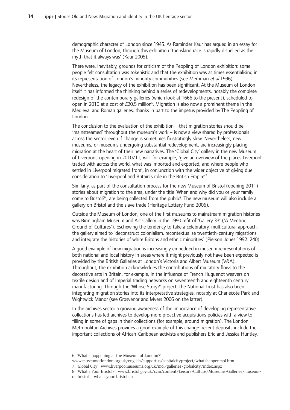demographic character of London since 1945. As Raminder Kaur has argued in an essay for the Museum of London, through this exhibition 'the island race is rapidly dispelled as the myth that it always was' (Kaur 2005).

There were, inevitably, grounds for criticism of the Peopling of London exhibition: some people felt consultation was tokenistic and that the exhibition was at times essentialising in its representation of London's minority communities (see Merriman et al 1996). Nevertheless, the legacy of the exhibition has been significant. At the Museum of London itself it has informed the thinking behind a series of redevelopments, notably the complete redesign of the contemporary galleries (which look at 1666 to the present), scheduled to open in 2010 at a cost of  $E20.5$  million<sup>6</sup>. Migration is also now a prominent theme in the Medieval and Roman galleries, thanks in part to the impetus provided by The Peopling of London.

The conclusion to the evaluation of the exhibition – that migration stories should be 'mainstreamed' throughout the museum's work - is now a view shared by professionals across the sector, even if change is sometimes frustratingly slow. Nevertheless, new museums, or museums undergoing substantial redevelopment, are increasingly placing migration at the heart of their new narratives. The 'Global City' gallery in the new Museum of Liverpool, opening in 2010/11, will, for example, 'give an overview of the places Liverpool traded with across the world, what was imported and exported, and where people who settled in Liverpool migrated from', in conjunction with the wider objective of giving due consideration to 'Liverpool and Britain's role in the British Empire'7.

Similarly, as part of the consultation process for the new Museum of Bristol (opening 2011) stories about migration to the area, under the title 'When and why did you or your family come to Bristol?', are being collected from the public<sup>8</sup>. The new museum will also include a gallery on Bristol and the slave trade (Heritage Lottery Fund 2006).

Outside the Museum of London, one of the first museums to mainstream migration histories was Birmingham Museum and Art Gallery in the 1990 refit of 'Gallery 33' ('A Meeting Ground of Cultures'). Eschewing the tendency to take a celebratory, multicultural approach, the gallery aimed to 'deconstruct colonialism, recontextualise twentieth-century migrations and integrate the histories of white Britons and ethnic minorities' (Pierson Jones 1992: 240).

A good example of how migration is increasingly embedded in museum representations of both national and local history in areas where it might previously not have been expected is provided by the British Galleries at London's Victoria and Albert Museum (V&A). Throughout, the exhibition acknowledges the contributions of migratory flows to the decorative arts in Britain, for example, in the influence of French Huguenot weavers on textile design and of Imperial trading networks on seventeenth and eighteenth century manufacturing. Through the 'Whose Story?' project, the National Trust has also been integrating migration stories into its interpretative strategies, notably at Charlecote Park and Wightwick Manor (see Grosvenor and Myers 2006 on the latter).

In the archives sector a growing awareness of the importance of developing representative collections has led archives to develop more proactive acquisitions policies with a view to filling in some of gaps in their collections (for example, around migration). The London Metropolitan Archives provides a good example of this change: recent deposits include the important collections of African-Caribbean activists and publishers Eric and Jessica Huntley,

7. 'Global City', www.liverpoolmuseums.org.uk/mol/galleries/globalcity/index.aspx

<sup>6. &#</sup>x27;What's happening at the Museum of London?'

www.museumoflondon.org.uk/english/supportus/capitalcityproject/whatshappenmol.htm

<sup>8. &#</sup>x27;What's Your Bristol?', www.bristol.gov.uk/ccm/content/Leisure-Culture/Museums-Galleries/museumof-bristol---whats-your-bristol.en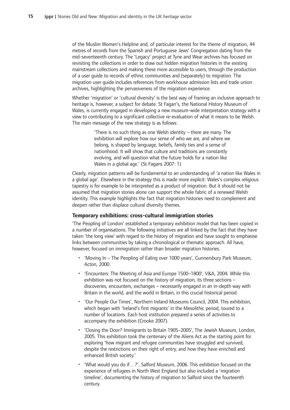of the Muslim Women's Helpline and, of particular interest for the theme of migration, 44 metres of records from the Spanish and Portuguese Jews' Congregation dating from the mid-seventeenth century. The 'Legacy' project at Tyne and Wear archives has focused on revisiting the collections in order to draw out hidden migration histories in the existing mainstream collections and making these more accessible to users, through the production of a user guide to records of ethnic communities and (separately) to migration. The migration user guide includes references from workhouse admission lists and trade union archives, highlighting the pervasiveness of the migration experience.

Whether 'migration' or 'cultural diversity' is the best way of framing an inclusive approach to heritage is, however, a subject for debate. St Fagan's, the National History Museum of Wales, is currently engaged in developing a new museum-wide interpretation strategy with a view to contributing to a significant collective re-evaluation of what it means to be Welsh. The main message of the new strategy is as follows:

> 'There is no such thing as one Welsh identity - there are many. The exhibition will explore how our sense of who we are, and where we belong, is shaped by language, beliefs, family ties and a sense of nationhood. It will show that culture and traditions are constantly evolving, and will question what the future holds for a nation like Wales in a global age.' (St Fagans 2007: 1)

Clearly, migration patterns will be fundamental to an understanding of 'a nation like Wales in a global age'. Elsewhere in the strategy this is made more explicit: Wales's complex religious tapestry is for example to be interpreted as a product of migration. But it should not be assumed that migration stories alone can support the whole fabric of a renewed Welsh identity. This example highlights the fact that migration histories need to complement and deepen rather than displace cultural diversity themes.

## **Temporary exhibitions: cross-cultural immigration stories**

'The Peopling of London' established a temporary exhibition model that has been copied in a number of organisations. The following initiatives are all linked by the fact that they have taken 'the long view' with regard to the history of migration and have sought to emphasise links between communities by taking a chronological or thematic approach. All have, however, focused on immigration rather than broader migration histories.

- 'Moving In The Peopling of Ealing over 1000 years', Gunnersbury Park Museum, Acton, 2000.
- 'Encounters: The Meeting of Asia and Europe 1500-1800', V&A, 2004. While this exhibition was not focused on the history of migration, its three sections discoveries, encounters, exchanges - necessarily engaged in an in-depth way with Britain in the world, and the world in Britain, in this crucial historical period.
- 'Our People Our Times', Northern Ireland Museums Council, 2004. This exhibition, which began with 'Ireland's first migrants' in the Mesolithic period, toured to a number of locations. Each host institution prepared a series of activities to accompany the exhibition (Crooke 2007).
- 'Closing the Door? Immigrants to Britain 1905-2005', The Jewish Museum, London, 2005. This exhibition took the centenary of the Aliens Act as the starting point for exploring 'how migrant and refugee communities have struggled and survived, despite the restrictions on their right of entry, and how they have enriched and enhanced British society.'
- 'What would you do if...?', Salford Museum, 2006. This exhibition focused on the experience of refugees in North West England but also included a 'migration timeline', documenting the history of migration to Salford since the fourteenth century.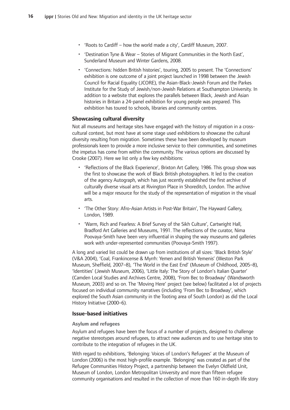- 'Roots to Cardiff how the world made a city', Cardiff Museum, 2007.
- 'Destination Tyne & Wear Stories of Migrant Communities in the North East', Sunderland Museum and Winter Gardens, 2008.
- 'Connections: hidden British histories', touring, 2005 to present. The 'Connections' exhibition is one outcome of a joint project launched in 1998 between the Jewish Council for Racial Equality (JCORE), the Asian-Black-Jewish Forum and the Parkes Institute for the Study of Jewish/non-Jewish Relations at Southampton University. In addition to a website that explores the parallels between Black, Jewish and Asian histories in Britain a 24-panel exhibition for young people was prepared. This exhibition has toured to schools, libraries and community centres.

### **Showcasing-cultural-diversity**

Not all museums and heritage sites have engaged with the history of migration in a crosscultural context, but most have at some stage used exhibitions to showcase the cultural diversity resulting from migration. Sometimes these have been developed by museum professionals keen to provide a more inclusive service to their communities, and sometimes the impetus has come from within the community. The various options are discussed by Crooke (2007). Here we list only a few key exhibitions:

- 'Reflections of the Black Experience', Brixton Art Gallery, 1986. This group show was the first to showcase the work of Black British photographers. It led to the creation of the agency Autograph, which has just recently established the first archive of culturally diverse visual arts at Rivington Place in Shoreditch, London. The archive will be a major resource for the study of the representation of migration in the visual arts.
- The Other Story: Afro-Asian Artists in Post-War Britain', The Hayward Gallery, London,-1989.
- 'Warm, Rich and Fearless: A Brief Survey of the Sikh Culture', Cartwright Hall, Bradford Art Galleries and Museums, 1991. The reflections of the curator, Nima Poovaya-Smith have been very influential in shaping the way museums and galleries work with under-represented communities (Poovaya-Smith 1997).

A long and varied list could be drawn up from institutions of all sizes: 'Black British Style' (V&A 2004), 'Coal, Frankincense & Myrrh: Yemen and British Yemenis' (Weston Park Museum, Sheffield, 2007–8), 'The World in the East End' (Museum of Childhood, 2005–8), 'Identities' (Jewish Museum, 2006), 'Little Italy: The Story of London's Italian Quarter' (Camden Local Studies and Archives Centre, 2008), 'From Bec to Broadway' (Wandsworth Museum, 2003) and so on. The 'Moving Here' project (see below) facilitated a lot of projects focused on individual community narratives (including 'From Bec to Broadway', which explored the South Asian community in the Tooting area of South London) as did the Local History Initiative (2000-6).

## **Issue-based-initiatives**

#### **Asylum-and-refugees-**

Asylum and refugees have been the focus of a number of projects, designed to challenge negative stereotypes around refugees, to attract new audiences and to use heritage sites to contribute to the integration of refugees in the UK.

With regard to exhibitions, 'Belonging: Voices of London's Refugees' at the Museum of London (2006) is the most high-profile example. 'Belonging' was created as part of the Refugee Communities History Project, a partnership between the Evelyn Oldfield Unit, Museum of London, London Metropolitan University and more than fifteen refugee community organisations and resulted in the collection of more than 160 in-depth life story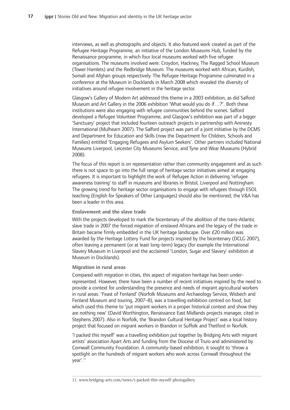interviews, as well as photographs and objects. It also featured work created as part of the Refugee Heritage Programme, an initiative of the London Museums Hub, funded by the Renaissance programme, in which four local museums worked with five refugee organisations. The museums involved were: Croydon, Hackney, The Ragged School Museum (Tower Hamlets) and the Redbridge Museum. The museums worked with African, Kurdish, Somali and Afghan groups respectively. The Refugee Heritage Programme culminated in a conference at the Museum in Docklands in March 2008 which revealed the diversity of initiatives around refugee involvement in the heritage sector.

Glasgow's Gallery of Modern Art addressed this theme in a 2003 exhibition, as did Salford Museum and Art Gallery in the 2006 exhibition 'What would you do if...?'. Both these institutions were also engaging with refugee communities behind the scenes. Salford developed a Refugee Volunteer Programme, and Glasgow's exhibition was part of a bigger 'Sanctuary' project that included fourteen outreach projects in partnership with Amnesty International (Mulhearn 2007). The Salford project was part of a joint initiative by the DCMS and Department for Education and Skills (now the Department for Children, Schools and Families) entitled 'Engaging Refugees and Asylum Seekers'. Other partners included National Museums Liverpool, Leicester City Museums Service, and Tyne and Wear Museums (Hybrid 2008).

The focus of this report is on representation rather than community engagement and as such there is not space to go into the full range of heritage sector initiatives aimed at engaging refugees. It is important to highlight the work of Refugee Action in delivering 'refugee awareness training' to staff in museums and libraries in Bristol, Liverpool and Nottingham. The growing trend for heritage sector organisations to engage with refugees through ESOL teaching (English for Speakers of Other Languages) should also be mentioned; the V&A has been a leader in this area.

#### **Enslavement and the slave trade**

With the projects developed to mark the bicentenary of the abolition of the trans-Atlantic slave trade in 2007 the forced migration of enslaved Africans and the legacy of the trade in Britain became firmly embedded in the UK heritage landscape. Over £20 million was awarded by the Heritage Lottery Fund for projects inspired by the bicentenary (DCLG 2007), often leaving a permanent (or at least long-term) legacy (for example the International Slavery Museum in Liverpool and the acclaimed 'London, Sugar and Slavery' exhibition at Museum in Docklands).

#### **Migration in rural areas**

Compared with migration in cities, this aspect of migration heritage has been underrepresented. However, there have been a number of recent initiatives inspired by the need to provide a context for understanding the presence and needs of migrant agricultural workers in rural areas. 'Feast of Fenland' (Norfolk Museums and Archaeology Service, Wisbech and Fenland Museum and touring, 2007–8), was a travelling exhibition centred on food, but which used this theme to 'put migrant workers in a proper historical context and show they are nothing new' (David Worthington, Renaissance East Midlands projects manager, cited in Stephens 2007). Also in Norfolk, the 'Brandon Cultural Heritage Project' was a local history project that focused on migrant workers in Brandon in Suffolk and Thetford in Norfolk.

'I packed this myself' was a travelling exhibition put together by Bridging Arts with migrant artists' association Apart Arts and funding from the Diocese of Truro and administered by Cornwall Community Foundation. A community-based exhibition, it sought to 'throw a spotlight on the hundreds of migrant workers who work across Cornwall throughout the year'.11

<sup>11.</sup> www.bridging-arts.com/news/i-packed-this-myself-photogallery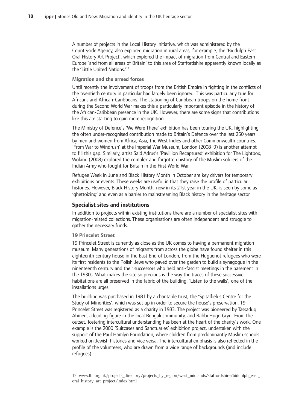A number of projects in the Local History Initiative, which was administered by the Countryside Agency, also explored migration in rural areas, for example, the 'Biddulph East Oral History Art Project', which explored the impact of migration from Central and Eastern Europe 'and from all areas of Britain' to this area of Staffordshire apparently known locally as the 'Little United Nations.'<sup>12</sup>

#### **Migration and the armed forces**

Until recently the involvement of troops from the British Empire in fighting in the conflicts of the twentieth century in particular had largely been ignored. This was particularly true for Africans and African-Caribbeans. The stationing of Caribbean troops on the home front during the Second World War makes this a particularly important episode in the history of the African-Caribbean presence in the UK. However, there are some signs that contributions like this are starting to gain more recognition.

The Ministry of Defence's 'We Were There' exhibition has been touring the UK, highlighting the often under-recognised contribution made to Britain's Defence over the last 250 years by men and women from Africa, Asia, the West Indies and other Commonwealth countries. 'From War to Windrush' at the Imperial War Museum, London (2008–9) is another attempt to fill this gap. Similarly, artist Said Adrus's 'Pavillion Recaptured' exhibition for The Lightbox, Woking (2008) explored the complex and forgotten history of the Muslim soldiers of the Indian Army who fought for Britain in the First World War.

Refugee Week in June and Black History Month in October are key drivers for temporary exhibitions or events. These weeks are useful in that they raise the profile of particular histories. However, Black History Month, now in its 21st year in the UK, is seen by some as 'ghettoizing' and even as a barrier to mainstreaming Black history in the heritage sector.

#### **Specialist-sites-and-institutions**

In addition to projects within existing institutions there are a number of specialist sites with migration-related collections. These organisations are often independent and struggle to gather the necessary funds.

#### 19 Princelet Street

19 Princelet Street is currently as close as the UK comes to having a permanent migration museum. Many generations of migrants from across the globe have found shelter in this eighteenth century house in the East End of London, from the Huguenot refugees who were its first residents to the Polish Jews who paved over the garden to build a synagogue in the ninenteenth century and their successors who held anti-fascist meetings in the basement in the 1930s. What makes the site so precious is the way the traces of these successive habitations are all preserved in the fabric of the building: 'Listen to the walls', one of the installations urges.

The building was purchased in 1981 by a charitable trust, the 'Spitalfields Centre for the Study of Minorities', which was set up in order to secure the house's preservation. 19 Princelet Street was registered as a charity in 1983. The project was pioneered by Tassaduq Ahmed, a leading figure in the local Bengali community, and Rabbi Hugo Gryn. From the outset, fostering intercultural understanding has been at the heart of the charity's work. One example is the 2000 'Suitcases and Sanctuaries' exhibition project, undertaken with the support of the Paul Hamlyn Foundation, where children from predominantly Muslim schools worked on Jewish histories and vice versa. The intercultural emphasis is also reflected in the profile of the volunteers, who are drawn from a wide range of backgrounds (and include refugees).

<sup>12.</sup> www.lhi.org.uk/projects\_directory/projects\_by\_region/west\_midlands/staffordshire/biddulph\_east\_ oral\_history\_art\_project/index.html-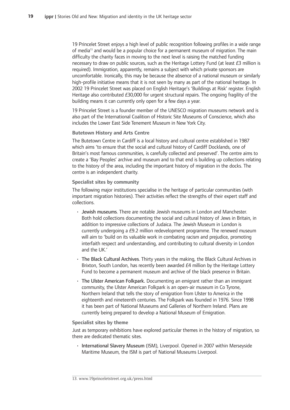19 Princelet Street enjoys a high level of public recognition following profiles in a wide range of media<sup>13</sup> and would be a popular choice for a permanent museum of migration. The main difficulty the charity faces in moving to the next level is raising the matched funding necessary to draw on public sources, such as the Heritage Lottery Fund (at least  $E_3$  million is required). Immigration, apparently, remains a subject with which private sponsors are uncomfortable. Ironically, this may be because the absence of a national museum or similarly high-profile initiative means that it is not seen by many as part of the national heritage. In 2002 19 Princelet Street was placed on English Heritage's 'Buildings at Risk' register. English Heritage also contributed £30,000 for urgent structural repairs. The ongoing fragility of the building means it can currently only open for a few days a year.

19 Princelet Street is a founder member of the UNESCO migration museums network and is also part of the International Coalition of Historic Site Museums of Conscience, which also includes the Lower East Side Tenement Museum in New York City.

### **Butetown History and Arts Centre**

The Butetown Centre in Cardiff is a local history and cultural centre established in 1987 which aims 'to ensure that the social and cultural history of Cardiff Docklands, one of Britain's most famous communities, is carefully collected and preserved'. The centre aims to create a 'Bay Peoples' archive and museum and to that end is building up collections relating to the history of the area, including the important history of migration in the docks. The centre is an independent charity.

### **Specialist-sites-by-community**

The following major institutions specialise in the heritage of particular communities (with important migration histories). Their activities reflect the strengths of their expert staff and collections.-

- Jewish museums. There are notable Jewish museums in London and Manchester. Both hold collections documenting the social and cultural history of Jews in Britain, in addition to impressive collections of Judaica. The Jewish Museum in London is currently undergoing a £9.2 million redevelopment programme. The renewed museum will aim to 'build on its valuable work in combating racism and prejudice, promoting interfaith respect and understanding, and contributing to cultural diversity in London and the UK.'
- The Black Cultural Archives. Thirty years in the making, the Black Cultural Archives in Brixton, South London, has recently been awarded £4 million by the Heritage Lottery Fund to become a permanent museum and archive of the black presence in Britain.
- The Ulster American Folkpark. Documenting an emigrant rather than an immigrant community, the Ulster American Folkpark is an open-air museum in Co Tyrone, Northern Ireland that tells the story of emigration from Ulster to America in the eighteenth and nineteenth centuries. The Folkpark was founded in 1976. Since 1998 it has been part of National Museums and Galleries of Northern Ireland. Plans are currently being prepared to develop a National Museum of Emigration.

### **Specialist sites by theme**

Just as temporary exhibitions have explored particular themes in the history of migration, so there are dedicated thematic sites.

· International Slavery Museum (ISM), Liverpool. Opened in 2007 within Merseyside Maritime Museum, the ISM is part of National Museums Liverpool.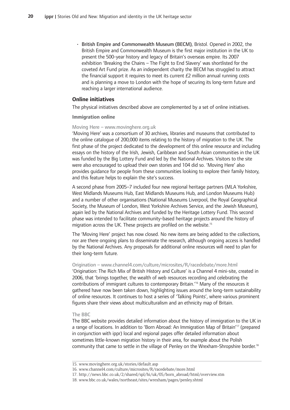•-British Empire and Commonwealth Museum (BECM), Bristol. Opened in 2002, the British Empire and Commonwealth Museum is the first major institution in the UK to present the 500-year history and legacy of Britain's overseas empire. Its 2007 exhibition 'Breaking the Chains - The Fight to End Slavery' was shortlisted for the coveted Art Fund prize. As an independent charity the BECM has struggled to attract the financial support it requires to meet its current  $E2$  million annual running costs and is planning a move to London with the hope of securing its long-term future and reaching a larger international audience.

#### **Online-initiatives**

The physical initiatives described above are complemented by a set of online initiatives.

#### **Immigration-online**

#### Moving Here - www.movinghere.org.uk

'Moving Here' was a consortium of 30 archives, libraries and museums that contributed to the online catalogue of 200,000 items relating to the history of migration to the UK. The first phase of the project dedicated to the development of this online resource and including essays on the history of the Irish, Jewish, Caribbean and South Asian communities in the UK was funded by the Big Lottery Fund and led by the National Archives. Visitors to the site were also encouraged to upload their own stories and 104 did so. 'Moving Here' also provides guidance for people from these communities looking to explore their family history, and this feature helps to explain the site's success.

A second phase from 2005–7 included four new regional heritage partners (MLA Yorkshire, West Midlands Museums Hub, East Midlands Museums Hub, and London Museums Hub) and a number of other organisations (National Museums Liverpool, the Royal Geographical Society, the Museum of London, West Yorkshire Archives Service, and the Jewish Museum), again led by the National Archives and funded by the Heritage Lottery Fund. This second phase was intended to facilitate community-based heritage projects around the history of migration across the UK. These projects are profiled on the website.<sup>15</sup>

The 'Moving Here' project has now closed. No new items are being added to the collections, nor are there ongoing plans to disseminate the research, although ongoing access is handled by the National Archives. Any proposals for additional online resources will need to plan for their long-term future.

#### Origination - www.channel4.com/culture/microsites/R/racedebate/more.html

'Origination: The Rich Mix of British History and Culture' is a Channel 4 mini-site, created in 2006, that 'brings together, the wealth of web resources recording and celebrating the contributions of immigrant cultures to contemporary Britain.<sup>16</sup> Many of the resources it gathered have now been taken down, highlighting issues around the long-term sustainability of online resources. It continues to host a series of 'Talking Points', where various prominent figures share their views about multiculturalism and an ethnicity map of Britain.

#### The BBC

The BBC website provides detailed information about the history of immigration to the UK in a range of locations. In addition to 'Born Abroad: An Immigration Map of Britain'<sup>17</sup> (prepared in conjunction with ippr) local and regional pages offer detailed information about sometimes little-known migration history in their area, for example about the Polish community that came to settle in the village of Penley on the Wrexham-Shropshire border.<sup>18</sup>

<sup>15.-</sup>www.movinghere.org.uk/stories/default.asp-

<sup>16.</sup> www.channel4.com/culture/microsites/R/racedebate/more.html

<sup>17.</sup> http://news.bbc.co.uk/2/shared/spl/hi/uk/05/born\_abroad/html/overview.stm

<sup>18.</sup> www.bbc.co.uk/wales/northeast/sites/wrexham/pages/penley.shtml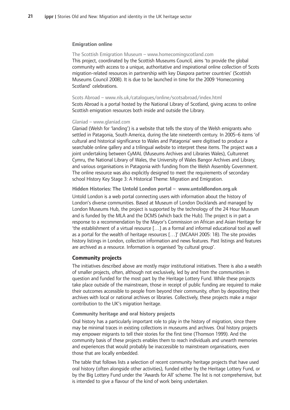#### **Emigration-online**

The Scottish Emigration Museum - www.homecomingscotland.com This project, coordinated by the Scottish Museums Council, aims 'to provide the global community with access to a unique, authoritative and inspirational online collection of Scots migration-related resources in partnership with key Diaspora partner countries' (Scottish Museums Council 2008). It is due to be launched in time for the 2009 'Homecoming Scotland' celebrations.

#### Scots Abroad - www.nls.uk/catalogues/online/scotsabroad/index.html

Scots Abroad is a portal hosted by the National Library of Scotland, giving access to online Scottish emigration resources both inside and outside the Library.

#### Glaniad - www.glaniad.com

Glaniad (Welsh for 'landing') is a website that tells the story of the Welsh emigrants who settled in Patagonia, South America, during the late nineteenth century. In 2005–6 items 'of cultural and historical significance to Wales and Patagonia' were digitised to produce a searchable online gallery and a trilingual website to interpret these items. The project was a joint undertaking between CyMAL (Museums Archives and Libraries Wales), Culturenet Cymru, the National Library of Wales, the University of Wales Bangor Archives and Library, and various organisations in Patagonia with funding from the Welsh Assembly Government. The online resource was also explicitly designed to meet the requirements of secondary school History Key Stage 3: A Historical Theme: Migration and Emigration.

#### Hidden Histories: The Untold London portal - www.untoldlondon.org.uk

Untold London is a web portal connecting users with information about the history of London's diverse communities. Based at Museum of London Docklands and managed by London Museums Hub, the project is supported by the technology of the 24 Hour Museum and is funded by the MLA and the DCMS (which back the Hub). The project is in part a response to a recommendation by the Mayor's Commission on African and Asian Heritage for 'the establishment of a virtual resource [...] as a formal and informal educational tool as well as a portal for the wealth of heritage resources [...]' (MCAAH 2005: 18). The site provides history listings in London, collection information and news features. Past listings and features are archived as a resource. Information is organised 'by cultural group'.

#### **Community-projects**

The initiatives described above are mostly major institutional initiatives. There is also a wealth of smaller projects, often, although not exclusively, led by and from the communities in question and funded for the most part by the Heritage Lottery Fund. While these projects take place outside of the mainstream, those in receipt of public funding are required to make their outcomes accessible to people from beyond their community, often by depositing their archives with local or national archives or libraries. Collectively, these projects make a major contribution to the UK's migration heritage.

#### **Community heritage and oral history projects**

Oral history has a particularly important role to play in the history of migration, since there may be minimal traces in existing collections in museums and archives. Oral history projects may empower migrants to tell their stories for the first time (Thomson 1999). And the community basis of these projects enables them to reach individuals and unearth memories and experiences that would probably be inaccessible to mainstream organisations, even those that are locally embedded.

The table that follows lists a selection of recent community heritage projects that have used oral history (often alongside other activities), funded either by the Heritage Lottery Fund, or by the Big Lottery Fund under the 'Awards for All' scheme. The list is not comprehensive, but is intended to give a flavour of the kind of work being undertaken.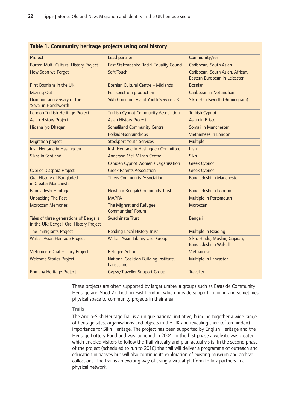| Project                                                                           | Lead partner                                         | Community/ies                                                     |
|-----------------------------------------------------------------------------------|------------------------------------------------------|-------------------------------------------------------------------|
| <b>Burton Multi-Cultural History Project</b>                                      | East Staffordshire Racial Equality Council           | Caribbean, South Asian                                            |
| How Soon we Forget                                                                | Soft Touch                                           | Caribbean, South Asian, African,<br>Eastern European in Leicester |
| First Bosnians in the UK                                                          | Bosnian Cultural Centre - Midlands                   | <b>Bosnian</b>                                                    |
| <b>Moving Out</b>                                                                 | Full spectrum production                             | Caribbean in Nottingham                                           |
| Diamond anniversary of the<br>'Seva' in Handsworth                                | Sikh Community and Youth Service UK                  | Sikh, Handsworth (Birmingham)                                     |
| London Turkish Heritage Project                                                   | <b>Turkish Cypriot Community Association</b>         | <b>Turkish Cypriot</b>                                            |
| <b>Asian History Project</b>                                                      | <b>Asian History Project</b>                         | Asian in Bristol                                                  |
| Hidaha iyo Dhaqan                                                                 | <b>Somaliland Community Centre</b>                   | Somali in Manchester                                              |
|                                                                                   | Polkadotsonraindrops                                 | Vietnamese in London                                              |
| Migration project                                                                 | <b>Stockport Youth Services</b>                      | Multiple                                                          |
| Irish Heritage in Haslingden                                                      | Irish Heritage in Haslingden Committee               | Irish                                                             |
| <b>Sikhs in Scotland</b>                                                          | Anderson Mel-Milaap Centre                           | <b>Sikh</b>                                                       |
|                                                                                   | Camden Cypriot Women's Organisation                  | <b>Greek Cypriot</b>                                              |
| Cypriot Diaspora Project                                                          | <b>Greek Parents Association</b>                     | <b>Greek Cypriot</b>                                              |
| Oral History of Bangladeshi<br>in Greater Manchester                              | <b>Tigers Community Association</b>                  | Bangladeshi in Manchester                                         |
| Bangladeshi Heritage                                                              | Newham Bengali Community Trust                       | Bangladeshi in London                                             |
| <b>Unpacking The Past</b>                                                         | <b>MAPPA</b>                                         | Multiple in Portsmouth                                            |
| <b>Moroccan Memories</b>                                                          | The Migrant and Refugee<br><b>Communities' Forum</b> | Moroccan                                                          |
| Tales of three generations of Bengalis<br>in the UK: Bengali Oral History Project | Swadhinata Trust                                     | Bengali                                                           |
| The Immigrants Project                                                            | <b>Reading Local History Trust</b>                   | Multiple in Reading                                               |
| <b>Walsall Asian Heritage Project</b>                                             | <b>Walsall Asian Library User Group</b>              | Sikh, Hindu, Muslim, Gujarati,<br>Bangladeshi in Walsall          |
| Vietnamese Oral History Project                                                   | <b>Refugee Action</b>                                | Vietnamese                                                        |
| <b>Welcome Stories Project</b>                                                    | National Coalition Building Institute,<br>Lancashire | Multiple in Lancaster                                             |
| Romany Heritage Project                                                           | Gypsy/Traveller Support Group                        | <b>Traveller</b>                                                  |

#### **Table 1. Community heritage projects using oral history**

These projects are often supported by larger umbrella groups such as Eastside Community Heritage and Shed 22, both in East London, which provide support, training and sometimes physical space to community projects in their area.

#### **Trails**

The Anglo-Sikh Heritage Trail is a unique national initiative, bringing together a wide range of heritage sites, organisations and objects in the UK and revealing their (often hidden) importance for Sikh Heritage. The project has been supported by English Heritage and the Heritage Lottery Fund and was launched in 2004. In the first phase a website was created which enabled visitors to follow the Trail virtually and plan actual visits. In the second phase of the project (scheduled to run to 2010) the trail will deliver a programme of outreach and education initiatives but will also continue its exploration of existing museum and archive collections. The trail is an exciting way of using a virtual platform to link partners in a physical network.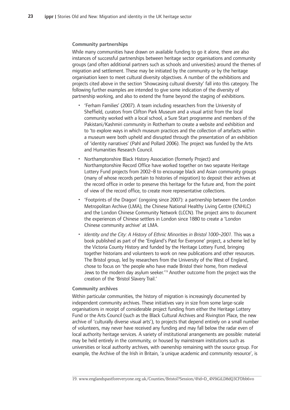#### **Community-partnerships**

While many communities have drawn on available funding to go it alone, there are also instances of successful partnerships between heritage sector organisations and community groups (and often additional partners such as schools and universities) around the themes of migration and settlement. These may be initiated by the community or by the heritage organisation keen to meet cultural diversity objectives. A number of the exhibitions and projects cited above in the section 'Showcasing cultural diversity' fall into this category. The following further examples are intended to give some indication of the diversity of partnership working, and also to extend the frame beyond the staging of exhibitions.

- 'Ferham Families' (2007). A team including researchers from the University of Sheffield, curators from Clifton Park Museum and a visual artist from the local community worked with a local school, a Sure Start programme and members of the Pakistani/Kashmiri community in Rotherham to create a website and exhibition and to 'to explore ways in which museum practices and the collection of artefacts within a museum were both upheld and disrupted through the presentation of an exhibition of 'identity narratives' (Pahl and Pollard 2006). The project was funded by the Arts and Humanities Research Council.
- •-Northamptonshire Black History Association (formerly Project) and Northamptonshire Record Office have worked together on two separate Heritage Lottery Fund projects from 2002–8 to encourage black and Asian community groups (many of whose records pertain to histories of migration) to deposit their archives at the record office in order to preserve this heritage for the future and, from the point of view of the record office, to create more representative collections.
- 'Footprints of the Dragon' (ongoing since 2007): a partnership between the London Metropolitan Archive (LMA), the Chinese National Healthy Living Centre (CNHLC) and the London Chinese Community Network (LCCN). The project aims to document the experiences of Chinese settlers in London since 1880 to create a 'London Chinese community archive' at LMA.
- Identity and the City: A History of Ethnic Minorities in Bristol 1000–2001. This was a book published as part of the 'England's Past for Everyone' project, a scheme led by the Victoria County History and funded by the Heritage Lottery Fund, bringing together historians and volunteers to work on new publications and other resources. The Bristol group, led by researchers from the University of the West of England, chose to focus on 'the people who have made Bristol their home, from medieval Jews to the modern day asylum seeker.<sup>'19</sup> Another outcome from the project was the creation of the 'Bristol Slavery Trail.'

#### **Community-archives**

Within particular communities, the history of migration is increasingly documented by independent community archives. These initiatives vary in size from some large-scale organisations in receipt of considerable project funding from either the Heritage Lottery Fund or the Arts Council (such as the Black Cultural Archives and Rivington Place, the new archive of 'culturally diverse visual arts'), to projects that depend entirely on a small number of volunteers, may never have received any funding and may fall below the radar even of local authority heritage services. A variety of institutional arrangements are possible: material may be held entirely in the community, or housed by mainstream institutions such as universities or local authority archives, with ownership remaining with the source group. For example, the Archive of the Irish in Britain, 'a unique academic and community resource', is

<sup>19.</sup> www.englandspastforeveryone.org.uk/Counties/Bristol?Session/@id=D\_4N9iGiLD8dQ3CFDbb6vo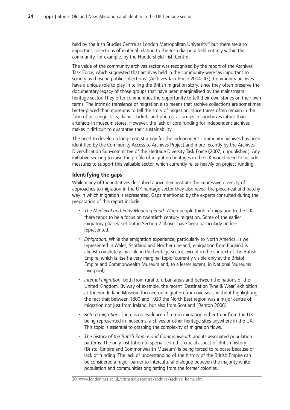held by the Irish Studies Centre at London Metropolitan University<sup>20</sup> but there are also important collections of material relating to the Irish diaspora held entirely within the community, for example, by the Huddersfield Irish Centre.

The value of the community archives sector was recognised by the report of the Archives Task Force, which suggested that archives held in the community were 'as important to society as those in public collections' (Archives Task Force 2004: 43). Community archives have a unique role to play in telling the British migration story, since they often preserve the documentary legacy of those groups that have been marginalised by the mainstream heritage sector. They offer communities the opportunity to tell their own stories on their own terms. The intrinsic transience of migration also means that archive collections are sometimes better placed than museums to tell the story of migration, since traces often remain in the form of passenger lists, diaries, tickets and photos, as scraps in shoeboxes rather than artefacts in museum stores. However, the lack of core funding for independent archives makes it difficult to guarantee their sustainability.

The need to develop a long-term strategy for the independent community archives has been identified by the Community Access to Archives Project and more recently by the Archives Diversification Sub-committee of the Heritage Diversity Task Force (2007, unpublished). Any initiative seeking to raise the profile of migration heritages in the UK would need to include measures to support this valuable sector, which currently relies heavily on project funding.

### **Identifying-the-gaps**

While many of the initiatives described above demonstrate the impressive diversity of approaches to migration in the UK heritage sector they also reveal the piecemeal and patchy way in which migration is represented. Gaps mentioned by the experts consulted during the preparation of this report include:

- The Medieval and Early Modern period. When people think of migration to the UK, there tends to be a focus on twentieth century migration. Some of the earlier migratory phases, set out in Section 2 above, have been particularly underrepresented.
- •-Emigration. While the emigration experience, particularly to North America, is well represented in Wales, Scotland and Northern Ireland, emigration from England is almost completely invisible in the heritage sector, except in the context of the British Empire, which is itself a very marginal topic (currently visible only at the Bristol Empire and Commonwealth Museum and, to a lesser extent, in National Museums Liverpool).
- Internal migration, both from rural to urban areas and between the nations of the United Kingdom. By way of example, the recent 'Destination Tyne & Wear' exhibition at the Sunderland Museum focused on migration from overseas, without highlighting the fact that between 1880 and 1920 the North East region was a major centre of migration not just from Ireland, but also from Scotland (Renton 2006).
- Return-migration. There is no evidence of return migration either to or from the UK being represented in museums, archives or other heritage sites anywhere in the UK. This topic is essential to grasping the complexity of migration flows.
- The history of the British Empire and Commonwealth and its associated population patterns. The only institution to specialise in this crucial aspect of British history (Bristol Empire and Commonwealth Museum) is being forced to relocate because of lack of funding. The lack of understanding of the history of the British Empire can be considered a major barrier to intercultural dialogue between the majority white population and communities originating from the former colonies.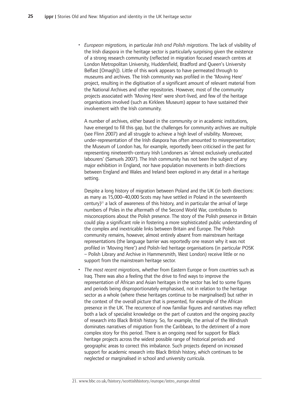• European migrations, in particular Irish and Polish migrations. The lack of visibility of the Irish diaspora in the heritage sector is particularly surprising given the existence of a strong research community (reflected in migration focused research centres at London Metropolitan University, Huddersfield, Bradford and Queen's University Belfast [Omagh]). Little of this work appears to have permeated through to museums and archives. The Irish community was profiled in the 'Moving Here' project, resulting in the digitisation of a significant amount of relevant material from the National Archives and other repositories. However, most of the community projects associated with 'Moving Here' were short-lived, and few of the heritage organisations involved (such as Kirklees Museum) appear to have sustained their involvement with the Irish community.

A number of archives, either based in the community or in academic institutions, have emerged to fill this gap, but the challenges for community archives are multiple (see Flinn 2007) and all struggle to achieve a high level of visibility. Moreover, under-representation of the Irish diaspora has often amounted to misrepresentation; the Museum of London has, for example, reportedly been criticised in the past for representing nineteenth-century Irish Londoners as 'almost exclusively uneducated labourers' (Samuels 2007). The Irish community has not been the subject of any major exhibition in England, nor have population movements in both directions between England and Wales and Ireland been explored in any detail in a heritage setting.

Despite a long history of migration between Poland and the UK (in both directions: as many as 15,000–40,000 Scots may have settled in Poland in the seventeenth century)<sup>21</sup> a lack of awareness of this history, and in particular the arrival of large numbers of Poles in the aftermath of the Second World War, contributes to misconceptions about the Polish presence. The story of the Polish presence in Britain could play a significant role in fostering a more sophisticated public understanding of the complex and inextricable links between Britain and Europe. The Polish community remains, however, almost entirely absent from mainstream heritage representations (the language barrier was reportedly one reason why it was not profiled in 'Moving Here') and Polish-led heritage organisations (in particular POSK – Polish Library and Archive in Hammersmith, West London) receive little or no support from the mainstream heritage sector.

• The most recent migrations, whether from Eastern Europe or from countries such as Iraq. There was also a feeling that the drive to find ways to improve the representation of African and Asian heritages in the sector has led to some figures and periods being disproportionately emphasised, not in relation to the heritage sector as a whole (where these heritages continue to be marginalised) but rather in the context of the overall picture that is presented, for example of the African presence in the UK. The recurrence of now familiar figures and narratives may reflect both a lack of specialist knowledge on the part of curators and the ongoing paucity of research into Black British history. So, for example, the arrival of the Windrush dominates narratives of migration from the Caribbean, to the detriment of a more complex story for this period. There is an ongoing need for support for Black heritage projects across the widest possible range of historical periods and geographic areas to correct this imbalance. Such projects depend on increased support for academic research into Black British history, which continues to be neglected or marginalised in school and university curricula.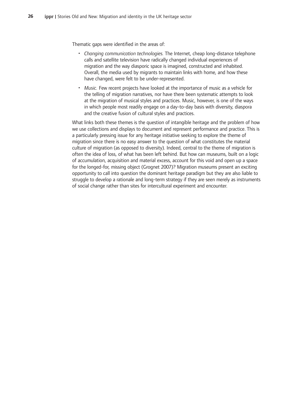Thematic gaps were identified in the areas of:

- Changing communication technologies. The Internet, cheap long-distance telephone calls and satellite television have radically changed individual experiences of migration and the way diasporic space is imagined, constructed and inhabited. Overall, the media used by migrants to maintain links with home, and how these have changed, were felt to be under-represented.
- •-Music. Few recent projects have looked at the importance of music as a vehicle for the telling of migration narratives, nor have there been systematic attempts to look at the migration of musical styles and practices. Music, however, is one of the ways in which people most readily engage on a day-to-day basis with diversity, diaspora and the creative fusion of cultural styles and practices.

What links both these themes is the question of intangible heritage and the problem of how we use collections and displays to document and represent performance and practice. This is a particularly pressing issue for any heritage initiative seeking to explore the theme of migration since there is no easy answer to the question of what constitutes the material culture of migration (as opposed to diversity). Indeed, central to the theme of migration is often the idea of loss, of what has been left behind. But how can museums, built on a logic of accumulation, acquisition and material excess, account for this void and open up a space for the longed-for, missing object (Grognet 2007)? Migration museums present an exciting opportunity to call into question the dominant heritage paradigm but they are also liable to struggle to develop a rationale and long-term strategy if they are seen merely as instruments of social change rather than sites for intercultural experiment and encounter.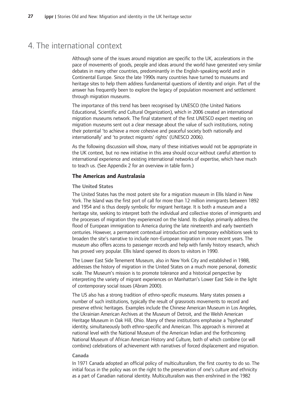## 4. The international context

Although some of the issues around migration are specific to the UK, accelerations in the pace of movements of goods, people and ideas around the world have generated very similar debates in many other countries, predominantly in the English-speaking world and in Continental Europe. Since the late 1990s many countries have turned to museums and heritage sites to help them address fundamental questions of identity and origin. Part of the answer has frequently been to explore the legacy of population movement and settlement through migration museums.

The importance of this trend has been recognised by UNESCO (the United Nations Educational, Scientific and Cultural Organization), which in 2006 created an international migration museums network. The final statement of the first UNESCO expert meeting on migration museums sent out a clear message about the value of such institutions, noting their potential 'to achieve a more cohesive and peaceful society both nationally and internationally' and 'to protect migrants' rights' (UNESCO 2006).

As the following discussion will show, many of these initiatives would not be appropriate in the UK context, but no new initiative in this area should occur without careful attention to international experience and existing international networks of expertise, which have much to teach us. (See Appendix 2 for an overview in table form.)

### **The-Americas-and-Australasia**

#### **The-United-States**

The United States has the most potent site for a migration museum in Ellis Island in New York. The Island was the first port of call for more than 12 million immigrants between 1892 and 1954 and is thus deeply symbolic for migrant heritage. It is both a museum and a heritage site, seeking to interpret both the individual and collective stories of immigrants and the processes of migration they experienced on the Island. Its displays primarily address the flood of European immigration to America during the late nineteenth and early twentieth centuries. However, a permanent contextual introduction and temporary exhibitions seek to broaden the site's narrative to include non-European migration in more recent years. The museum also offers access to passenger records and help with family history research, which has proved very popular. Ellis Island opened its doors to visitors in 1990.

The Lower East Side Tenement Museum, also in New York City and established in 1988, addresses the history of migration in the United States on a much more personal, domestic scale. The Museum's mission is to promote tolerance and a historical perspective by interpreting the variety of migrant experiences on Manhattan's Lower East Side in the light of contemporary social issues (Abram 2000).

The US also has a strong tradition of ethno-specific museums. Many states possess a number of such institutions, typically the result of grassroots movements to record and preserve ethnic heritages. Examples include the Chinese American Museum in Los Angeles, the Ukrainian American Archives at the Museum of Detroit, and the Welsh American Heritage Museum in Oak Hill, Ohio. Many of these institutions emphasise a 'hyphenated' identity, simultaneously both ethno-specific and American. This approach is mirrored at national level with the National Museum of the American Indian and the forthcoming National Museum of African American History and Culture, both of which combine (or will combine) celebrations of achievement with narratives of forced displacement and migration.

#### **Canada**

In 1971 Canada adopted an official policy of multiculturalism, the first country to do so. The initial focus in the policy was on the right to the preservation of one's culture and ethnicity as a part of Canadian national identity. Multiculturalism was then enshrined in the 1982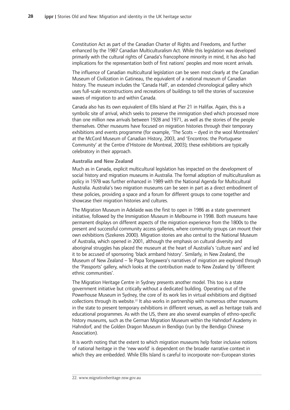Constitution Act as part of the Canadian Charter of Rights and Freedoms, and further enhanced by the 1987 Canadian Multiculturalism Act. While this legislation was developed primarily with the cultural rights of Canada's francophone minority in mind, it has also had implications for the representation both of first nations' peoples and more recent arrivals.

The influence of Canadian multicultural legislation can be seen most clearly at the Canadian Museum of Civilization in Gatineau, the equivalent of a national museum of Canadian history. The museum includes the 'Canada Hall', an extended chronological gallery which uses full-scale reconstructions and recreations of buildings to tell the stories of successive waves of migration to and within Canada.

Canada also has its own equivalent of Ellis Island at Pier 21 in Halifax. Again, this is a symbolic site of arrival, which seeks to preserve the immigration shed which processed more than one million new arrivals between 1928 and 1971, as well as the stories of the people themselves. Other museums have focused on migration histories through their temporary exhibitions and events programme (for example, 'The Scots - dyed in the wool Montrealers' at the McCord Museum of Canadian History, 2003, and 'Encontros: the Portuguese Community' at the Centre d'Histoire de Montreal, 2003); these exhibitions are typically celebratory in their approach.

#### **Australia-and-New-Zealand**

Much as in Canada, explicit multicultural legislation has impacted on the development of social history and migration museums in Australia. The formal adoption of multiculturalism as policy in 1978 was further enhanced in 1989 with the National Agenda for Multicultural Australia. Australia's two migration museums can be seen in part as a direct embodiment of these policies, providing a space and a forum for different groups to come together and showcase their migration histories and cultures.

The Migration Museum in Adelaide was the first to open in 1986 as a state government initiative, followed by the Immigration Museum in Melbourne in 1998. Both museums have permanent displays on different aspects of the migration experience from the 1800s to the present and successful community access galleries, where community groups can mount their own exhibitions (Szekeres 2000). Migration stories are also central to the National Museum of Australia, which opened in 2001, although the emphasis on cultural diversity and aboriginal struggles has placed the museum at the heart of Australia's 'culture wars' and led it to be accused of sponsoring 'black armband history'. Similarly, in New Zealand, the Museum of New Zealand – Te Papa Tongawera's narratives of migration are explored through the 'Passports' gallery, which looks at the contribution made to New Zealand by 'different ethnic communities'.

The Migration Heritage Centre in Sydney presents another model. This too is a state government initiative but critically without a dedicated building. Operating out of the Powerhouse Museum in Sydney, the core of its work lies in virtual exhibitions and digitised collections through its website.<sup>22</sup> It also works in partnership with numerous other museums in the state to present temporary exhibitions in different venues, as well as heritage trails and educational programmes. As with the US, there are also several examples of ethno-specific history museums, such as the German Migration Museum within the Hahndorf Academy in Hahndorf, and the Golden Dragon Museum in Bendigo (run by the Bendigo Chinese Association).

It is worth noting that the extent to which migration museums help foster inclusive notions of national heritage in the 'new world' is dependent on the broader narrative context in which they are embedded. While Ellis Island is careful to incorporate non-European stories

<sup>22.</sup> www.migrationheritage.nsw.gov.au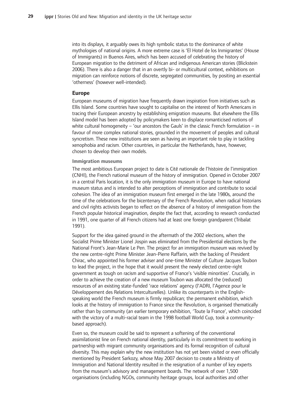into its displays, it arguably owes its high symbolic status to the dominance of white mythologies of national origins. A more extreme case is 'El Hotel de los Inmigrantes' (House of Immigrants) in Buenos Aires, which has been accused of celebrating the history of European migration to the detriment of African and indigenous American stories (Blickstein 2006). There is also a danger that in an overtly bi- or multicultural context, exhibitions on migration can reinforce notions of discrete, segregated communities, by positing an essential 'otherness' (however well-intended).

#### **Europe**

European museums of migration have frequently drawn inspiration from initiatives such as Ellis Island. Some countries have sought to capitalise on the interest of North Americans in tracing their European ancestry by establishing emigration museums. But elsewhere the Ellis Island model has been adopted by policymakers keen to displace romanticised notions of white cultural homogeneity – 'our ancestors the Gauls' in the classic French formulation – in favour of more complex national stories, grounded in the movement of peoples and cultural syncretism. These new institutions are seen as having an important role to play in tackling xenophobia and racism. Other countries, in particular the Netherlands, have, however, chosen to develop their own models.

#### **Immigration-museums**

The most ambitious European project to date is Cité nationale de l'histoire de l'immigration (CNHI), the French national museum of the history of immigration. Opened in October 2007 in a central Paris location, it is the only immigration museum in Europe to have national museum status and is intended to alter perceptions of immigration and contribute to social cohesion. The idea of an immigration museum first emerged in the late 1980s, around the time of the celebrations for the bicentenary of the French Revolution, when radical historians and civil rights activists began to reflect on the absence of a history of immigration from the French popular historical imagination, despite the fact that, according to research conducted in 1991, one quarter of all French citizens had at least one foreign grandparent (Tribalat 1991).

Support for the idea gained ground in the aftermath of the 2002 elections, when the Socialist Prime Minister Lionel Jospin was eliminated from the Presidential elections by the National Front's Jean-Marie Le Pen. The project for an immigration museum was revived by the new centre-right Prime Minister Jean-Pierre Raffarin, with the backing of President Chirac, who appointed his former adviser and one-time Minister of Culture Jacques Toubon to lead the project, in the hope that it would present the newly elected centre-right government as tough on racism and supportive of France's 'visible minorities'. Crucially, in order to achieve the creation of a new museum Toubon was allocated the (reduced) resources of an existing state-funded 'race relations' agency (l'ADRI, l'Agence pour le Développement des Relations Interculturelles). Unlike its counterparts in the Englishspeaking world the French museum is firmly republican; the permanent exhibition, which looks at the history of immigration to France since the Revolution, is organised thematically rather than by community (an earlier temporary exhibition, 'Toute la France', which coincided with the victory of a multi-racial team in the 1998 football World Cup, took a communitybased approach).

Even so, the museum could be said to represent a softening of the conventional assimilationist line on French national identity, particularly in its commitment to working in partnership with migrant community organisations and its formal recognition of cultural diversity. This may explain why the new institution has not yet been visited or even officially mentioned by President Sarkozy, whose May 2007 decision to create a Ministry of Immigration and National Identity resulted in the resignation of a number of key experts from the museum's advisory and management boards. The network of over 1,500 organisations (including NGOs, community heritage groups, local authorities and other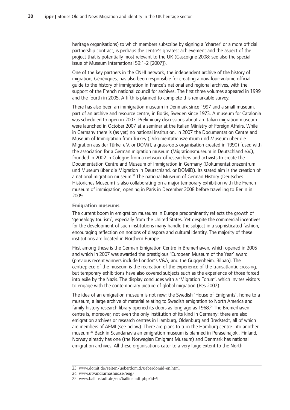heritage organisations) to which members subscribe by signing a 'charter' or a more official partnership contract, is perhaps the centre's greatest achievement and the aspect of the project that is potentially most relevant to the UK (Gascoigne 2008; see also the special issue of Museum International 59:1-2 [2007]).

One of the key partners in the CNHI network, the independent archive of the history of migration, Génériques, has also been responsible for creating a now four-volume official guide to the history of immigration in France's national and regional archives, with the support of the French national council for archives. The first three volumes appeared in 1999 and the fourth in 2005. A fifth is planned to complete this remarkable survey.

There has also been an immigration museum in Denmark since 1997 and a small museum, part of an archive and resource centre, in Borås, Sweden since 1973. A museum for Catalonia was scheduled to open in 2007. Preliminary discussions about an Italian migration museum were launched in October 2007 at a seminar at the Italian Ministry of Foreign Affairs. While in Germany there is (as yet) no national institution, in 2007 the Documentation Centre and Museum of Immigration from Turkey (Dokumentationszentrum und Museum über die Migration aus der Türkei e.V. or DOMiT, a grassroots organisation created in 1990) fused with the association for a German migration museum (Migrationsmuseum in Deutschland e.V.), founded in 2002 in Cologne from a network of researchers and activists to create the Documentation Centre and Museum of Immigration in Germany (Dokumentationszentrum und Museum über die Migration in Deutschland, or DOMiD). Its stated aim is the creation of a national migration museum.<sup>23</sup> The national Museum of German History (Deutsches Historiches Museum) is also collaborating on a major temporary exhibition with the French museum of immigration, opening in Paris in December 2008 before travelling to Berlin in 2009.

#### **Emigration-museums**

The current boom in emigration museums in Europe predominantly reflects the growth of 'genealogy tourism', especially from the United States. Yet despite the commercial incentives for the development of such institutions many handle the subject in a sophisticated fashion, encouraging reflection on notions of diaspora and cultural identity. The majority of these institutions are located in Northern Europe.

First among these is the German Emigration Centre in Bremerhaven, which opened in 2005 and which in 2007 was awarded the prestigious 'European Museum of the Year' award (previous recent winners include London's V&A, and the Guggenheim, Bilbao). The centrepiece of the museum is the recreation of the experience of the transatlantic crossing, but temporary exhibitions have also covered subjects such as the experience of those forced into exile by the Nazis. The display concludes with a 'Migration Forum', which invites visitors to engage with the contemporary picture of global migration (Pes 2007).

The idea of an emigration museum is not new; the Swedish 'House of Emigrants', home to a museum, a large archive of material relating to Swedish emigration to North America and family history research library opened its doors as long ago as 1968.<sup>24</sup> The Bremerhaven centre is, moreover, not even the only institution of its kind in Germany: there are also emigration archives or research centres in Hamburg, Oldenburg and Bredstedt, all of which are members of AEMI (see below). There are plans to turn the Hamburg centre into another museum.<sup>25</sup> Back in Scandanavia an emigration museum is planned in Peraseinajoki, Finland, Norway already has one (the Norwegian Emigrant Museum) and Denmark has national emigration archives. All these organisations cater to a very large extent to the North

<sup>23.-</sup>www.domit.de/seiten/ueberdomid/ueberdomid-en.html-

<sup>24.</sup> www.utvandrarnashus.se/eng/

<sup>25.-</sup>www.ballinstadt.de/en/ballinstadt.php?id=9-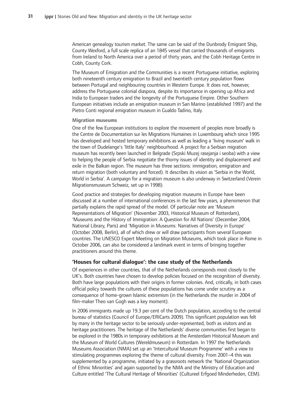American genealogy tourism market. The same can be said of the Dunbrody Emigrant Ship, County Wexford, a full scale replica of an 1845 vessel that carried thousands of emigrants from Ireland to North America over a period of thirty years, and the Cobh Heritage Centre in Cobh, County Cork.

The Museum of Emigration and the Communities is a recent Portuguese initiative, exploring both nineteenth century emigration to Brazil and twentieth century population flows between Portugal and neighbouring countries in Western Europe. It does not, however, address the Portuguese colonial diaspora, despite its importance in opening up Africa and India to European traders and the longevity of the Portuguese Empire. Other Southern European initiatives include an emigration museum in San Marino (established 1997) and the Pietro Conti regional emigration museum in Gualdo Tadino, Italy.

#### **Migration-museums**

One of the few European institutions to explore the movement of peoples more broadly is the Centre de Documentation sur les Migrations Humaines in Luxembourg which since 1995 has developed and hosted temporary exhibitions as well as leading a 'living museum' walk in the town of Dudelange's 'little Italy' neighbourhood. A project for a Serbian migration museum has recently been launched in Belgrade (Srpski Muzej rasejanja i seoba) with a view to helping the people of Serbia negotiate the thorny issues of identity and displacement and exile in the Balkan region. The museum has three sections: immigration, emigration and return migration (both voluntary and forced). It describes its vision as 'Serbia in the World, World in Serbia'. A campaign for a migration museum is also underway in Switzerland (Verein Migrationsmuseum Schweiz, set up in 1998).

Good practice and strategies for developing migration museums in Europe have been discussed at a number of international conferences in the last few years, a phenomenon that partially explains the rapid spread of the model. Of particular note are 'Museum Representations of Migration' (November 2003, Historical Museum of Rotterdam), 'Museums and the History of Immigration: A Question for All Nations' (December 2004, National Library, Paris) and 'Migration in Museums: Narratives of Diversity in Europe' (October 2008, Berlin), all of which drew or will draw participants from several European countries. The UNESCO Expert Meeting on Migration Museums, which took place in Rome in October 2006, can also be considered a landmark event in terms of bringing together practitioners around this theme.

### **'Houses for cultural dialogue': the case study of the Netherlands**

Of experiences in other countries, that of the Netherlands corresponds most closely to the UK's. Both countries have chosen to develop policies focused on the recognition of diversity. Both have large populations with their origins in former colonies. And, critically, in both cases official policy towards the cultures of these populations has come under scrutiny as a consequence of home-grown Islamic extremism (in the Netherlands the murder in 2004 of film-maker Theo van Gogh was a key moment).

In 2006 immigrants made up 19.3 per cent of the Dutch population, according to the central bureau of statistics (Council of Europe/ERICarts 2009). This significant population was felt by many in the heritage sector to be seriously under-represented, both as visitors and as heritage practitioners. The heritage of the Netherlands' diverse communities first began to be explored in the 1980s in temporary exhibitions at the Amsterdam Historical Museum and the Museum of World Cultures (Wereldmuseum) in Rotterdam. In 1997 the Netherlands Museums Association (NMA) set up an 'Intercultural Museum Programme' with a view to stimulating programmes exploring the theme of cultural diversity. From 2001–4 this was supplemented by a programme, initiated by a grassroots network the 'National Organization of Ethnic Minorities' and again supported by the NMA and the Ministry of Education and Culture entitled 'The Cultural Heritage of Minorities' (Cultureel Erfgoed Minderheden, CEM).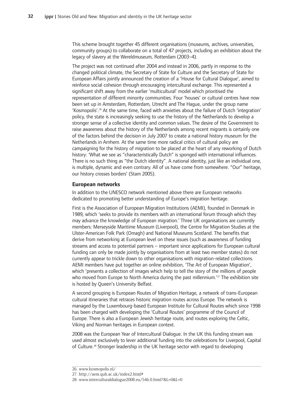This scheme brought together 45 different organisations (museums, archives, universities, community groups) to collaborate on a total of 47 projects, including an exhibition about the legacy of slavery at the Wereldmuseum, Rotterdam (2003–4).

The project was not continued after 2004 and instead in 2006, partly in response to the changed political climate, the Secretary of State for Culture and the Secretary of State for European Affairs jointly announced the creation of a 'House for Cultural Dialogue', aimed to reinforce social cohesion through encouraging intercultural exchange. This represented a significant shift away from the earlier 'multicultural' model which prioritised the representation of different minority communities. Four 'houses' or cultural centres have now been set up in Amsterdam, Rotterdam, Utrecht and The Hague, under the group name 'Kosmopolis'.<sup>26</sup> At the same time, faced with anxieties about the failure of Dutch 'integration' policy, the state is increasingly seeking to use the history of the Netherlands to develop a stronger sense of a collective identity and common values. The desire of the Government to raise awareness about the history of the Netherlands among recent migrants is certainly one of the factors behind the decision in July 2007 to create a national history museum for the Netherlands in Arnhem. At the same time more radical critics of cultural policy are campaigning for the history of migration to be placed at the heart of any reworking of Dutch history: 'What we see as "characteristically Dutch" is sponged with international influences. There is no such thing as "the Dutch identity". A national identity, just like an individual one, is multiple, dynamic and even contrary. All of us have come from somewhere. "Our" heritage, our history crosses borders' (Stam 2005).

#### **European-networks**

In addition to the UNESCO network mentioned above there are European networks dedicated to promoting better understanding of Europe's migration heritage.

First is the Association of European Migration Institutions (AEMI), founded in Denmark in 1989, which 'seeks to provide its members with an international forum through which they may advance the knowledge of European migration.' Three UK organisations are currently members: Merseyside Maritime Museum (Liverpool), the Centre for Migration Studies at the Ulster-American Folk Park (Omagh) and National Museums Scotland. The benefits that derive from networking at European level on these issues (such as awareness of funding streams and access to potential partners – important since applications for European cultural funding can only be made jointly by organisations from at least two member states) do not currently appear to trickle down to other organisations with migration-related collections. AEMI members have put together an online exhibition, 'The Art of European Migration', which 'presents a collection of images which help to tell the story of the millions of people who moved from Europe to North America during the past millennium.'<sup>27</sup> The exhibition site is hosted by Queen's University Belfast.

A second grouping is European Routes of Migration Heritage, a network of trans-European cultural itineraries that retraces historic migration routes across Europe. The network is managed by the Luxembourg-based European Institute for Cultural Routes which since 1998 has been charged with developing the 'Cultural Routes' programme of the Council of Europe. There is also a European Jewish heritage route, and routes exploring the Celtic, Viking and Norman heritages in European context.

2008 was the European Year of Intercultural Dialogue. In the UK this funding stream was used almost exclusively to lever additional funding into the celebrations for Liverpool, Capital of Culture.<sup>28</sup> Stronger leadership in the UK heritage sector with regard to developing

<sup>26.-</sup>www.kosmopolis.nl/-

<sup>27.-</sup>http://aem.qub.ac.uk/index2.html#-

<sup>28.-</sup>www.interculturaldialogue2008.eu/546.0.html?&L=0&L=0-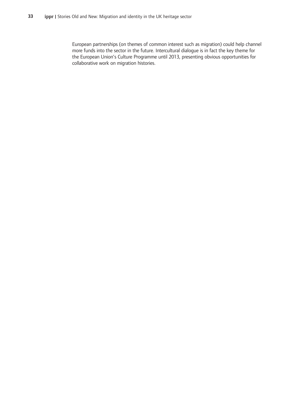European partnerships (on themes of common interest such as migration) could help channel more funds into the sector in the future. Intercultural dialogue is in fact the key theme for the European Union's Culture Programme until 2013, presenting obvious opportunities for collaborative work on migration histories.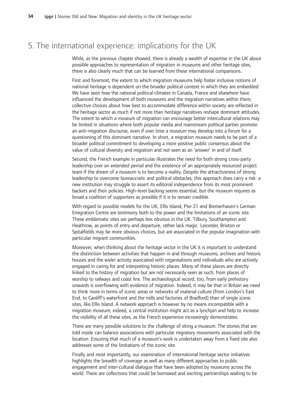## 5. The international experience: implications for the UK

While, as the previous chapter showed, there is already a wealth of expertise in the UK about possible approaches to representation of migration in museums and other heritage sites, there is also clearly much that can be learned from these international comparisons.

First and foremost, the extent to which migration museums help foster inclusive notions of national heritage is dependent on the broader political context in which they are embedded. We have seen how the national political climates in Canada, France and elsewhere have influenced the development of both museums and the migration narratives within them; collective choices about how best to accommodate difference within society are reflected in the heritage sector as much if not more than heritage narratives reshape dominant attitudes. The extent to which a museum of migration can encourage better intercultural relations may be limited in situations where both popular media and mainstream political parties promote an anti-migration discourse, even if over time a museum may develop into a forum for a questioning of this dominant narrative. In short, a migration museum needs to be part of a broader political commitment to developing a more positive public consensus about the value of cultural diversity and migration and not seen as an 'answer' in and of itself.

Second, the French example in particular illustrates the need for both strong cross-party leadership over an extended period and the existence of an appropriately resourced project team if the dream of a museum is to become a reality. Despite the attractiveness of strong leadership to overcome bureaucratic and political obstacles, this approach does carry a risk: a new institution may struggle to assert its editorial independence from its most prominent backers and their policies. High-level backing seems essential, but the museum requires as broad a coalition of supporters as possible if it is to remain credible.

With regard to possible models for the UK, Ellis Island, Pier 21 and Bremerhaven's German Emigration Centre are testimony both to the power and the limitations of an iconic site. These emblematic sites are perhaps less obvious in the UK. Tilbury, Southampton and Heathrow, as points of entry and departure, rather lack magic. Leicester, Brixton or Spitalfields may be more obvious choices, but are associated in the popular imagination with particular migrant communities.

Moreover, when thinking about the heritage sector in the UK it is important to understand the distinction between activities that happen in and through museums, archives and historic houses and the wider activity associated with organisations and individuals who are actively engaged in caring for and interpreting historic places. Many of these places are directly linked to the history of migration but are not necessarily seen as such, from places of worship to railways and coast line. The archaeological record, too, from early prehistory onwards is overflowing with evidence of migration. Indeed, it may be that in Britain we need to think more in terms of iconic areas or networks of material culture (from London's East End, to Cardiff's waterfront and the mills and factories of Bradford) than of single iconic sites, like Ellis Island. A network approach is however by no means incompatible with a migration museum; indeed, a central institution might act as a lynchpin and help to increase the visibility of all these sites, as the French experience increasingly demonstrates.

There are many possible solutions to the challenge of siting a museum. The stories that are told inside can balance associations with particular migratory movements associated with the location. Ensuring that much of a museum's work is undertaken away from a fixed site also addresses some of the limitations of the iconic site.

Finally and most importantly, our examination of international heritage sector initiatives highlights the breadth of coverage as well as many different approaches to public engagement and inter-cultural dialogue that have been adopted by museums across the world. There are collections that could be borrowed and exciting partnerships waiting to be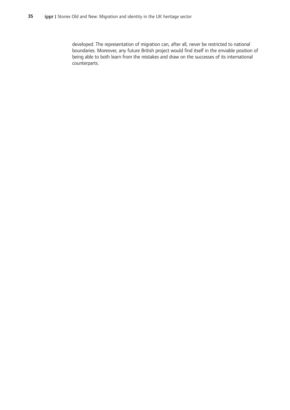developed. The representation of migration can, after all, never be restricted to national boundaries. Moreover, any future British project would find itself in the enviable position of being able to both learn from the mistakes and draw on the successes of its international counterparts.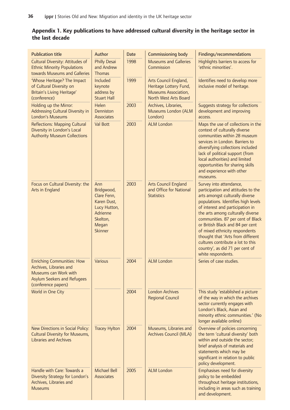## $\bf{A}$ ppendix  $\bf{1}.$  Key publications to have addressed cultural diversity in the heritage sector in **the-last-decade**

| <b>Publication title</b>                                                                                                                    | Author                                                                                                             | <b>Date</b> | <b>Commissioning body</b>                                                                        | Findings/recommendations                                                                                                                                                                                                                                                                                                                                                                                                                                       |
|---------------------------------------------------------------------------------------------------------------------------------------------|--------------------------------------------------------------------------------------------------------------------|-------------|--------------------------------------------------------------------------------------------------|----------------------------------------------------------------------------------------------------------------------------------------------------------------------------------------------------------------------------------------------------------------------------------------------------------------------------------------------------------------------------------------------------------------------------------------------------------------|
| <b>Cultural Diversity: Attitudes of</b><br><b>Ethnic Minority Populations</b><br>towards Museums and Galleries                              | <b>Philly Desai</b><br>and Andrew<br><b>Thomas</b>                                                                 | 1998        | <b>Museums and Galleries</b><br>Commission                                                       | Highlights barriers to access for<br>'ethnic minorities'.                                                                                                                                                                                                                                                                                                                                                                                                      |
| 'Whose Heritage? The Impact<br>of Cultural Diversity on<br>Britain's Living Heritage'<br>(conference)                                       | Included<br>keynote<br>address by<br><b>Stuart Hall</b>                                                            | 1999        | Arts Council England,<br>Heritage Lottery Fund,<br>Museums Association,<br>North West Arts Board | Identifies need to develop more<br>inclusive model of heritage.                                                                                                                                                                                                                                                                                                                                                                                                |
| Holding up the Mirror:<br>Addressing Cultural Diversity in<br>London's Museums                                                              | Helen<br>Denniston<br><b>Associates</b>                                                                            | 2003        | Archives, Libraries,<br>Museums London (ALM<br>London)                                           | Suggests strategy for collections<br>development and improving<br>access.                                                                                                                                                                                                                                                                                                                                                                                      |
| <b>Reflections: Mapping Cultural</b><br>Diversity in London's Local<br><b>Authority Museum Collections</b>                                  | Val Bott                                                                                                           | 2003        | <b>ALM London</b>                                                                                | Maps the use of collections in the<br>context of culturally diverse<br>communities within 28 museum<br>services in London. Barriers to<br>diversifying collections included<br>lack of political support (from<br>local authorities) and limited<br>opportunities for sharing skills<br>and experience with other<br>museums.                                                                                                                                  |
| Focus on Cultural Diversity: the<br>Arts in England                                                                                         | Ann<br>Bridgwood,<br>Clare Fenn,<br>Karen Dust,<br>Lucy Hutton,<br>Adrienne<br>Skelton,<br>Megan<br><b>Skinner</b> | 2003        | Arts Council England<br>and Office for National<br><b>Statistics</b>                             | Survey into attendance,<br>participation and attitudes to the<br>arts amongst culturally diverse<br>populations. Identifies high levels<br>of interest and participation in<br>the arts among culturally diverse<br>communities. 87 per cent of Black<br>or British Black and 84 per cent<br>of mixed ethnicity respondents<br>thought that 'Arts from different<br>cultures contribute a lot to this<br>country', as did 71 per cent of<br>white respondents. |
| <b>Enriching Communities: How</b><br>Archives, Libraries and<br>Museums can Work with<br>Asylum Seekers and Refugees<br>(conference papers) | Various                                                                                                            | 2004        | <b>ALM London</b>                                                                                | Series of case studies.                                                                                                                                                                                                                                                                                                                                                                                                                                        |
| World in One City                                                                                                                           |                                                                                                                    | 2004        | <b>London Archives</b><br><b>Regional Council</b>                                                | This study 'established a picture<br>of the way in which the archives<br>sector currently engages with<br>London's Black, Asian and<br>minority ethnic communities.' (No<br>longer available online)                                                                                                                                                                                                                                                           |
| New Directions in Social Policy:<br><b>Cultural Diversity for Museums,</b><br><b>Libraries and Archives</b>                                 | <b>Tracey Hylton</b>                                                                                               | 2004        | Museums, Libraries and<br>Archives Council (MLA)                                                 | Overview of policies concerning<br>the term 'cultural diversity' both<br>within and outside the sector;<br>brief analysis of materials and<br>statements which may be<br>significant in relation to public<br>policy development.                                                                                                                                                                                                                              |
| Handle with Care: Towards a<br>Diversity Strategy for London's<br>Archives, Libraries and<br><b>Museums</b>                                 | <b>Michael Bell</b><br><b>Associates</b>                                                                           | 2005        | <b>ALM London</b>                                                                                | Emphasises need for diversity<br>policy to be embedded<br>throughout heritage institutions,<br>including in areas such as training<br>and development.                                                                                                                                                                                                                                                                                                         |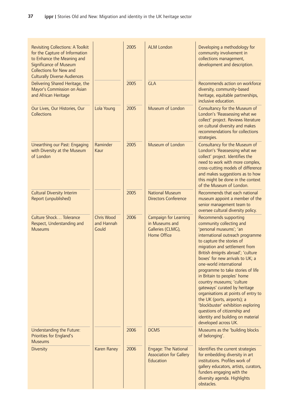| <b>Revisiting Collections: A Toolkit</b><br>for the Capture of Information<br>to Enhance the Meaning and<br><b>Significance of Museum</b><br><b>Collections for New and</b><br><b>Culturally Diverse Audiences</b> |                                          | 2005 | <b>ALM London</b>                                                                  | Developing a methodology for<br>community involvement in<br>collections management,<br>development and description.                                                                                                                                                                                                                                                                                                                                                                                                                                                                                                           |
|--------------------------------------------------------------------------------------------------------------------------------------------------------------------------------------------------------------------|------------------------------------------|------|------------------------------------------------------------------------------------|-------------------------------------------------------------------------------------------------------------------------------------------------------------------------------------------------------------------------------------------------------------------------------------------------------------------------------------------------------------------------------------------------------------------------------------------------------------------------------------------------------------------------------------------------------------------------------------------------------------------------------|
| Delivering Shared Heritage, the<br>Mayor's Commission on Asian<br>and African Heritage                                                                                                                             |                                          | 2005 | <b>GLA</b>                                                                         | Recommends action on workforce<br>diversity, community-based<br>heritage, equitable partnerships,<br>inclusive education.                                                                                                                                                                                                                                                                                                                                                                                                                                                                                                     |
| Our Lives, Our Histories, Our<br><b>Collections</b>                                                                                                                                                                | Lola Young                               | 2005 | Museum of London                                                                   | Consultancy for the Museum of<br>London's 'Reassessing what we<br>collect' project. Reviews literature<br>on cultural diversity and makes<br>recommendations for collections<br>strategies.                                                                                                                                                                                                                                                                                                                                                                                                                                   |
| Unearthing our Past: Engaging<br>with Diversity at the Museum<br>of London                                                                                                                                         | Raminder<br>Kaur                         | 2005 | Museum of London                                                                   | Consultancy for the Museum of<br>London's 'Reassessing what we<br>collect' project. Identifies the<br>need to work with more complex,<br>cross-cutting models of difference<br>and makes suggestions as to how<br>this might be done in the context<br>of the Museum of London.                                                                                                                                                                                                                                                                                                                                               |
| <b>Cultural Diversity Interim</b><br>Report (unpublished)                                                                                                                                                          |                                          | 2005 | <b>National Museum</b><br><b>Directors Conference</b>                              | Recommends that each national<br>museum appoint a member of the<br>senior management team to<br>oversee cultural diversity policy.                                                                                                                                                                                                                                                                                                                                                                                                                                                                                            |
| Culture Shock Tolerance<br>Respect, Understanding and<br><b>Museums</b>                                                                                                                                            | <b>Chris Wood</b><br>and Hannah<br>Gould | 2006 | <b>Campaign for Learning</b><br>in Museums and<br>Galleries (CLMG),<br>Home Office | Recommends supporting<br>community collecting and<br>'personal museums'; 'an<br>international outreach programme<br>to capture the stories of<br>migration and settlement from<br>British émigrés abroad'; 'culture<br>boxes' for new arrivals to UK; a<br>one-world international<br>programme to take stories of life<br>in Britain to peoples' home<br>country museums; 'culture<br>gateways' curated by heritage<br>organisations at points of entry to<br>the UK (ports, airports); a<br>'blockbuster' exhibition exploring<br>questions of citizenship and<br>identity and building on material<br>developed across UK. |
| Understanding the Future:<br>Priorities for England's<br><b>Museums</b>                                                                                                                                            |                                          | 2006 | <b>DCMS</b>                                                                        | Museums as the 'building blocks<br>of belonging'.                                                                                                                                                                                                                                                                                                                                                                                                                                                                                                                                                                             |
| <b>Diversity</b>                                                                                                                                                                                                   | Karen Raney                              | 2006 | Engage: The National<br><b>Association for Gallery</b><br>Education                | Identifies the current strategies<br>for embedding diversity in art<br>institutions. Profiles work of<br>gallery educators, artists, curators,<br>funders engaging with the<br>diversity agenda. Highlights<br>obstacles.                                                                                                                                                                                                                                                                                                                                                                                                     |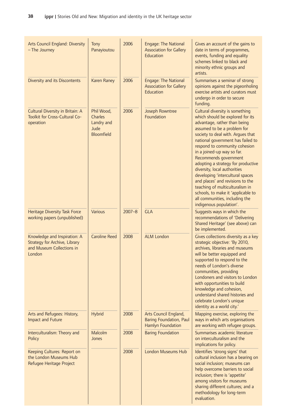| <b>Arts Council England: Diversity</b><br>- The Journey                                                     | Tony<br>Panayioutou                                                     | 2006       | Engage: The National<br><b>Association for Gallery</b><br>Education          | Gives an account of the gains to<br>date in terms of programmes,<br>events, funding and equality<br>schemes linked to black and<br>minority ethnic groups and<br>artists.                                                                                                                                                                                                                                                                                                                                                                                                                |
|-------------------------------------------------------------------------------------------------------------|-------------------------------------------------------------------------|------------|------------------------------------------------------------------------------|------------------------------------------------------------------------------------------------------------------------------------------------------------------------------------------------------------------------------------------------------------------------------------------------------------------------------------------------------------------------------------------------------------------------------------------------------------------------------------------------------------------------------------------------------------------------------------------|
| Diversity and its Discontents                                                                               | Karen Raney                                                             | 2006       | <b>Engage: The National</b><br><b>Association for Gallery</b><br>Education   | Summarises a seminar of strong<br>opinions against the pigeonholing<br>exercise artists and curators must<br>undergo in order to secure<br>funding.                                                                                                                                                                                                                                                                                                                                                                                                                                      |
| Cultural Diversity in Britain: A<br>Toolkit for Cross-Cultural Co-<br>operation                             | Phil Wood,<br><b>Charles</b><br>Landry and<br>Jude<br><b>Bloomfield</b> | 2006       | Joseph Rowntree<br>Foundation                                                | Cultural diversity is something<br>which should be explored for its<br>advantage, rather than being<br>assumed to be a problem for<br>society to deal with. Argues that<br>national government has failed to<br>respond to community cohesion<br>in a joined-up way so far.<br>Recommends government<br>adopting a strategy for productive<br>diversity, local authorities<br>developing 'intercultural spaces<br>and places' and revisions to the<br>teaching of multiculturalism in<br>schools, to make it 'applicable to<br>all communities, including the<br>indigenous population'. |
| Heritage Diversity Task Force<br>working papers (unpublished)                                               | Various                                                                 | $2007 - 8$ | <b>GLA</b>                                                                   | Suggests ways in which the<br>recommendations of 'Delivering<br>Shared Heritage' (see above) can<br>be implemented.                                                                                                                                                                                                                                                                                                                                                                                                                                                                      |
| Knowledge and Inspiration: A<br><b>Strategy for Archive, Library</b><br>and Museum Collections in<br>London | <b>Caroline Reed</b>                                                    | 2008       | <b>ALM London</b>                                                            | Gives collections diversity as a key<br>strategic objective: 'By 2010,<br>archives, libraries and museums<br>will be better equipped and<br>supported to respond to the<br>needs of London's diverse<br>communities, providing<br>Londoners and visitors to London<br>with opportunities to build<br>knowledge and cohesion,<br>understand shared histories and<br>celebrate London's unique<br>identity as a world city.'                                                                                                                                                               |
| Arts and Refugees: History,<br><b>Impact and Future</b>                                                     | <b>Hybrid</b>                                                           | 2008       | Arts Council England,<br><b>Baring Foundation, Paul</b><br>Hamlyn Foundation | Mapping exercise, exploring the<br>ways in which arts organisations<br>are working with refugee groups.                                                                                                                                                                                                                                                                                                                                                                                                                                                                                  |
| Interculturalism: Theory and<br>Policy                                                                      | Malcolm<br>Jones                                                        | 2008       | <b>Baring Foundation</b>                                                     | Summarises academic literature<br>on interculturalism and the<br>implications for policy.                                                                                                                                                                                                                                                                                                                                                                                                                                                                                                |
| Keeping Cultures: Report on<br>the London Museums Hub<br>Refugee Heritage Project                           |                                                                         | 2008       | <b>London Museums Hub</b>                                                    | Identifies 'strong signs' that<br>cultural inclusion has a bearing on<br>social inclusion; museums can<br>help overcome barriers to social<br>inclusion; there is 'appetite'<br>among visitors for museums<br>sharing different cultures; and a<br>methodology for long-term<br>evaluation.                                                                                                                                                                                                                                                                                              |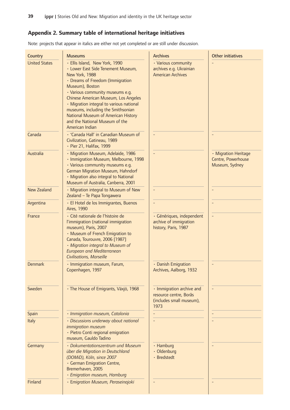## **Appendix-2.-Summary-table-of-international-heritage-initiatives**

Note: projects that appear in italics are either not yet completed or are still under discussion.

| Country              | <b>Museums</b>                                                                                                                                                                                                                                                                                                                                                                                          | <b>Archives</b>                                                                         | <b>Other initiatives</b>                                     |
|----------------------|---------------------------------------------------------------------------------------------------------------------------------------------------------------------------------------------------------------------------------------------------------------------------------------------------------------------------------------------------------------------------------------------------------|-----------------------------------------------------------------------------------------|--------------------------------------------------------------|
| <b>United States</b> | · Ellis Island, New York, 1990<br>• Lower East Side Tenement Museum,<br>New York, 1988<br>• Dreams of Freedom (Immigration<br>Museum), Boston<br>· Various community museums e.g.<br>Chinese American Museum, Los Angeles<br>· Migration integral to various national<br>museums, including the Smithsonian<br>National Museum of American History<br>and the National Museum of the<br>American Indian | • Various community<br>archives e.g. Ukrainian<br><b>American Archives</b>              |                                                              |
| Canada               | · 'Canada Hall' in Canadian Museum of<br>Civilization, Gatineau, 1989<br>· Pier 21, Halifax, 1999                                                                                                                                                                                                                                                                                                       |                                                                                         |                                                              |
| Australia            | · Migration Museum, Adelaide, 1986<br>· Immigration Museum, Melbourne, 1998<br>· Various community museums e.g.<br>German Migration Museum, Hahndorf<br>· Migration also integral to National<br>Museum of Australia, Canberra, 2001                                                                                                                                                                    |                                                                                         | · Migration Heritage<br>Centre, Powerhouse<br>Museum, Sydney |
| <b>New Zealand</b>   | · Migration integral to Museum of New<br>Zealand - Te Papa Tongawera                                                                                                                                                                                                                                                                                                                                    |                                                                                         |                                                              |
| Argentina            | · El Hotel de los Immigrantes, Buenos<br><b>Aires, 1990</b>                                                                                                                                                                                                                                                                                                                                             |                                                                                         |                                                              |
| France               | · Cité nationale de l'histoire de<br>l'immigration (national immigration<br>museum), Paris, 2007<br>· Museum of French Emigration to<br>Canada, Tourouvre, 2006 [1987]<br>· Migration integral to Museum of<br><b>European and Mediterranean</b><br>Civilisations, Marseille                                                                                                                            | · Génériques, independent<br>archive of immigration<br>history, Paris, 1987             |                                                              |
| <b>Denmark</b>       | · Immigration museum, Farum,<br>Copenhagen, 1997                                                                                                                                                                                                                                                                                                                                                        | • Danish Emigration<br>Archives, Aalborg, 1932                                          |                                                              |
| Sweden               | · The House of Emigrants, Växjö, 1968                                                                                                                                                                                                                                                                                                                                                                   | · Immigration archive and<br>resource centre, Borås<br>(includes small museum),<br>1973 |                                                              |
| Spain                | · Immigration museum, Catalonia                                                                                                                                                                                                                                                                                                                                                                         |                                                                                         |                                                              |
| <b>Italy</b>         | · Discussions underway about national<br>immigration museum<br>· Pietro Conti regional emigration<br>museum, Gauldo Tadino                                                                                                                                                                                                                                                                              |                                                                                         |                                                              |
| Germany              | · Dokumentationszentrum und Museum<br>über die Migration in Deutschland<br>(DOMiD), Köln, since 2007<br>· German Emigration Centre,<br>Bremerhaven, 2005<br>· Emigration museum, Hamburg                                                                                                                                                                                                                | · Hamburg<br>· Oldenburg<br>· Bredstedt                                                 |                                                              |
| Finland              | · Emigration Museum, Peraseinajoki                                                                                                                                                                                                                                                                                                                                                                      |                                                                                         |                                                              |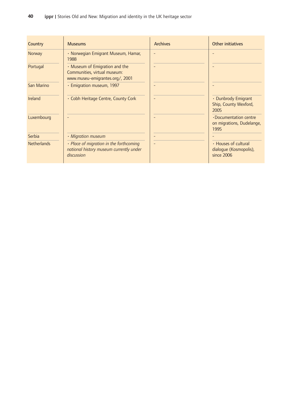| Country            | <b>Museums</b>                                                                                    | <b>Archives</b> | Other initiatives                                                 |
|--------------------|---------------------------------------------------------------------------------------------------|-----------------|-------------------------------------------------------------------|
| Norway             | • Norwegian Emigrant Museum, Hamar,<br>1988                                                       |                 |                                                                   |
| Portugal           | • Museum of Emigration and the<br>Communities, virtual museum:<br>www.museu-emigrantes.org/, 2001 |                 |                                                                   |
| San Marino         | • Emigration museum, 1997                                                                         |                 |                                                                   |
| Ireland            | • Cobh Heritage Centre, County Cork                                                               |                 | • Dunbrody Emigrant<br>Ship, County Wexford,<br>2005              |
| Luxembourg         |                                                                                                   |                 | $\cdot$ Documentation centre<br>on migrations, Dudelange,<br>1995 |
| Serbia             | · Migration museum                                                                                |                 |                                                                   |
| <b>Netherlands</b> | • Place of migration in the forthcoming<br>national history museum currently under<br>discussion  |                 | • Houses of cultural<br>dialogue (Kosmopolis),<br>since 2006      |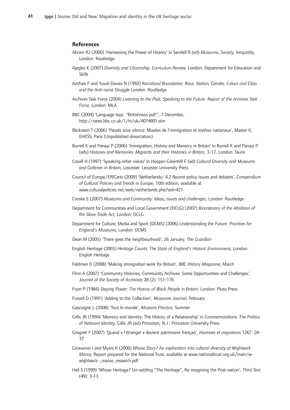#### **References**

- Abram RJ (2000) 'Harnessing the Power of History' in Sandell R (ed) Museums, Society, Inequality, London: Routledge
- Ajegbo K (2007) Diversity and Citizenship, Curriculum Review, London: Department for Education and Skills
- Anthais-F-and-Yuval-Davies-N-(1992)-*Racialized-Boundaries:-Race,-Nation,-Gender,-Colour-and-Class* and the Anti-racist Struggle London: Routledge
- Archives-Task-Force-(2004)-*Listening-to-the-Past,-Speaking-to-the-Future:-Report-of-the-Archives-Task* Force, London: MLA
- BBC (2004) 'Language tops "Britishness poll"', 7 December, http://news.bbc.co.uk/1/hi/uk/4074801.stm
- Blickstein T (2006) 'Passés sous silence: Musées de l'immigration et mythes nationaux', Master II, EHESS, Paris (Unpublished dissertation)
- Burrell K and Panayi P (2006) 'Immigration, History and Memory in Britain' in Burrell K and Panayi P (eds)-*Histories-and-Memories:-Migrants-and-their-Histories-in-Britain,* 3-17,-London:-Tauris
- Coxall H (1997) 'Speaking other voices' in Hooper-Greenhill E (ed) Cultural Diversity and Museums and Galleries in Britain, Leicester: Leicester University Press
- Council of Europe/ERICarts (2009) 'Netherlands/ 4.2 Recent policy issues and debates', Compendium *of-Cultural-Policies-and-Trends-in-Europe,-*10th-edition,-available-at www.culturalpolicies.net/web/netherlands.php?aid=421
- Crooke-E-(2007) *Museums-and-Community:-Ideas,-issues-and-challenges,-*London:-Routledge
- Department for Communities and Local Government (DCLG) (2007) Bicentenary of the Abolition of *the-Slave-Trade-Act,* London:-DCLG
- Department for Culture, Media and Sport (DCMS) (2006) Understanding the Future: Priorities for England's Museums, London: DCMS
- Dean M (2005) 'There goes the neighbourhood', 26 January, The Guardian
- English Heritage (2003) Heritage Counts: The State of England's Historic Environment, London: English-Heritage
- Feldman D (2008) 'Making immigration work for Britain', BBC History Magazine, March
- Flinn A (2007) 'Community Histories, Community Archives: Some Opportunities and Challenges', *Journal-of-the-Society-of-Archivists* 28-(2):-151-176
- Fryer P (1984) Staying Power: The History of Black People in Britain, London: Pluto Press
- Fussell D (1991) 'Adding to the Collection', Museums Journal, February
- Gascoigne L (2008) 'Tout le monde', Museum Practice, Summer
- Gillis JR (1994) 'Memory and Identity: The History of a Relationship' in Commemorations: The Politics of Natioanl Identity, Gillis JR (ed) Princeton, N.J.: Princeton University Press
- Grognet F (2007) 'Quand « l'étranger » devient patrimoine français', Hommes et migrations 1267: 28-37
- Grosvenor I and Myers K (2006) Whose Story? An exploration into cultural diversity at Wightwick Manor, Report prepared for the National Trust, available at www.nationaltrust.org.uk/main/wwightwick-\_manor\_research.pdf-
- Hall S (1999) 'Whose Heritage? Un-settling "The Heritage", Re-imagining the Post-nation', Third Text  $(49)$ : 3-13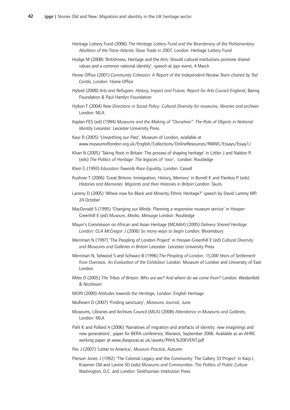- Heritage-Lottery-Fund-(2006)-*The-Heritage-Lottery-Fund-and-the-Bicentenary-of-the-Parliamentary* Abolition of the Trans-Atlantic Slave Trade in 2007, London: Heritage Lottery Fund
- Hodge M (2008) 'Britishness, Heritage and the Arts: Should cultural institutions promote shared values and a common national identity', speech at ippr event, 4 March
- Home-Office-(2001)-*Community-Cohesion:-A-Report-of-the-Independent-Review-Team-chaired-by-Ted* Cantle, London: Home Office
- Hybrid-(2008)-*Arts-and-Refugees:-History,-Impact-and-Future,-Report-for-Arts-Council-England*,-Baring Foundation & Paul Hamlyn Foundation
- Hylton-T-(2004)-*New-Directions-in-Social-Policy:-Cultural-Diversity-for-museums,-libraries-and-archives* London: MLA
- Kaplan FES (ed) (1994) Museums and the Making of "Ourselves": The Role of Objects in National Identity Leicester: Leicester University Press
- Kaur R (2005) 'Unearthing our Past', Museum of London, available at www.museumoflondon.org.uk/English/Collections/OnlineResources/RWWC/Essays/Essay1/
- Khan N (2005) 'Taking Root in Britain: The process of shaping heritage' in Littler J and Naidoo R (eds)-*The-Politics-of-Heritage:-The-legacies-of-'race',--*London:-Routledge
- Klein-G-(1993)-*Education-Towards-Race-Equality,-*London:-Cassell
- Kushner T (2006) 'Great Britons: Immigration, History, Memory' in Burrell K and Panikos P (eds) *Histories-and-Memories:-Migrants-and-their-Histories-in-Britain-*London:-Tauris
- Lammy D (2005) 'Where now for Black and Minority Ethnic Heritage?' speech by David Lammy MP, 24-October
- MacDonald S (1995) 'Changing our Minds: Planning a responsive museum service' in Hooper-Greenhill E (ed) Museum, Media, Message London: Routledge
- Mayor's Commission on African and Asian Heritage (MCAAH) (2005) *Delivery Shared Heritage London:-GLA-McGregor-J-(2006)-So-many-ways-to-begin-*London:-Bloomsbury
- Merriman N (1997) 'The Peopling of London Project' in Hooper-Greenhill E (ed) Cultural Diversity *and-Museums-and-Galleries-in-Britain-*Leicester:-Leicester-University-Press
- Merriman-N,-Selwood-S-and-Schwarz-B-(1996) *The-Peopling-of-London:-15,000-Years-of-Settlement from Overseas. An Evaluation of the Exhibition London: Museum of London and University of East* London
- Miles-D-(2005)-*The-Tribes-of-Britain:-Who-are-we?-And-where-do-we-come-from?* London:-Weidenfeld & Nicoloson
- MORI-(2000)-*Attitudes-towards-the-Heritage,* London:-English-Heritage
- Mulhearn D (2007) 'Finding sanctuary', Museums Journal, June
- Museums, Libraries and Archives Council (MLA) (2008) Attendance in Museums and Galleries, London: MLA
- Pahl K and Pollard A (2006) 'Narratives of migration and artefacts of identity: new imaginings and new generations', paper for BERA conference, Warwick, September 2006. Available as an AHRC working paper at www.diasporas.ac.uk/assets/PAHL%20EVENT.pdf
- Pes J (2007) 'Letter to America', Museum Practice, Autumn
- Pierson Jones J (1992) 'The Colonial Legacy and the Community: The Gallery 33 Project' in Karp I, Kraemer CM and Lavine SD (eds) Museums and Communities: The Politics of Public Culture Washington, D.C. and London: Smithsonian Institution Press